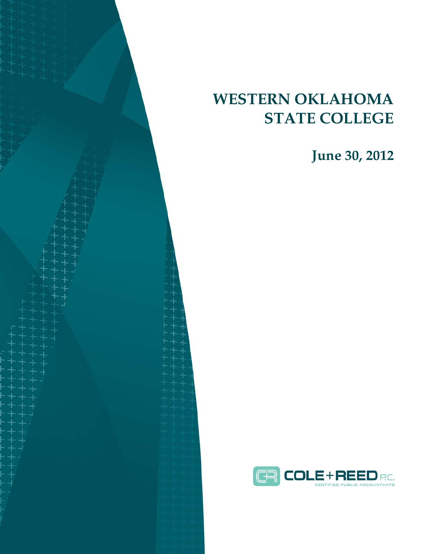# **WESTERN OKLAHOMA STATE COLLEGE**

**June 30, 2012** 

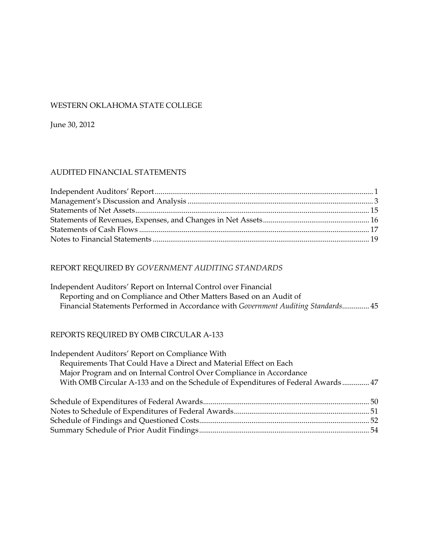## WESTERN OKLAHOMA STATE COLLEGE

June 30, 2012

## AUDITED FINANCIAL STATEMENTS

# REPORT REQUIRED BY *GOVERNMENT AUDITING STANDARDS*

Independent Auditors' Report on Internal Control over Financial Reporting and on Compliance and Other Matters Based on an Audit of Financial Statements Performed in Accordance with *Government Auditing Standards* .............. 45

## REPORTS REQUIRED BY OMB CIRCULAR A-133

| Independent Auditors' Report on Compliance With                                  |  |
|----------------------------------------------------------------------------------|--|
| Requirements That Could Have a Direct and Material Effect on Each                |  |
| Major Program and on Internal Control Over Compliance in Accordance              |  |
| With OMB Circular A-133 and on the Schedule of Expenditures of Federal Awards 47 |  |
|                                                                                  |  |
|                                                                                  |  |
|                                                                                  |  |
|                                                                                  |  |
|                                                                                  |  |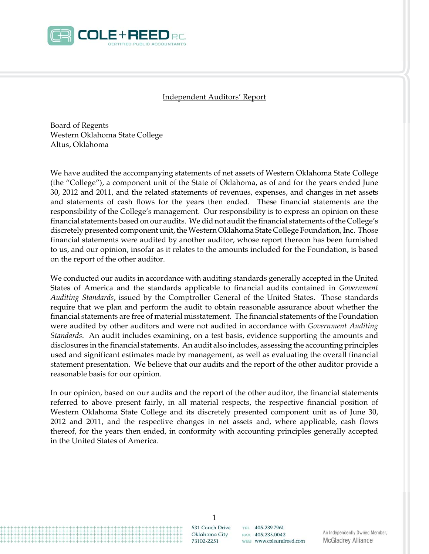

#### Independent Auditors' Report

Board of Regents Western Oklahoma State College Altus, Oklahoma

We have audited the accompanying statements of net assets of Western Oklahoma State College (the "College"), a component unit of the State of Oklahoma, as of and for the years ended June 30, 2012 and 2011, and the related statements of revenues, expenses, and changes in net assets and statements of cash flows for the years then ended. These financial statements are the responsibility of the College's management. Our responsibility is to express an opinion on these financial statements based on our audits. We did not audit the financial statements of the College's discretely presented component unit, the Western Oklahoma State College Foundation, Inc. Those financial statements were audited by another auditor, whose report thereon has been furnished to us, and our opinion, insofar as it relates to the amounts included for the Foundation, is based on the report of the other auditor.

We conducted our audits in accordance with auditing standards generally accepted in the United States of America and the standards applicable to financial audits contained in *Government Auditing Standards*, issued by the Comptroller General of the United States. Those standards require that we plan and perform the audit to obtain reasonable assurance about whether the financial statements are free of material misstatement. The financial statements of the Foundation were audited by other auditors and were not audited in accordance with *Government Auditing Standards*. An audit includes examining, on a test basis, evidence supporting the amounts and disclosures in the financial statements. An audit also includes, assessing the accounting principles used and significant estimates made by management, as well as evaluating the overall financial statement presentation. We believe that our audits and the report of the other auditor provide a reasonable basis for our opinion.

In our opinion, based on our audits and the report of the other auditor, the financial statements referred to above present fairly, in all material respects, the respective financial position of Western Oklahoma State College and its discretely presented component unit as of June 30, 2012 and 2011, and the respective changes in net assets and, where applicable, cash flows thereof, for the years then ended, in conformity with accounting principles generally accepted in the United States of America.

> 1 531 Couch Drive Oklahoma City 73102-2251

TEL 405.239.7961  $FAX$  405 235 0042 WEB www.coleandreed.com

An Independently Owned Member, **McGladrey Alliance**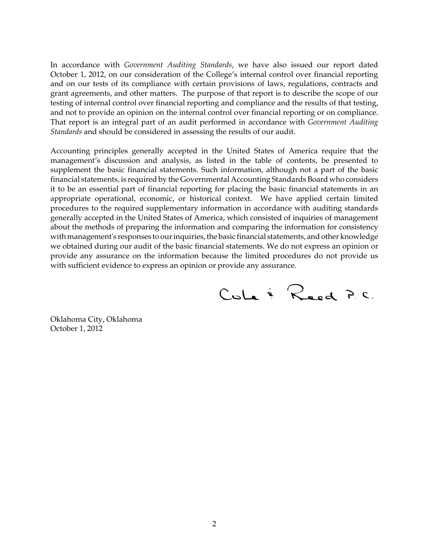In accordance with *Government Auditing Standards*, we have also issued our report dated October 1, 2012, on our consideration of the College's internal control over financial reporting and on our tests of its compliance with certain provisions of laws, regulations, contracts and grant agreements, and other matters. The purpose of that report is to describe the scope of our testing of internal control over financial reporting and compliance and the results of that testing, and not to provide an opinion on the internal control over financial reporting or on compliance. That report is an integral part of an audit performed in accordance with *Government Auditing Standards* and should be considered in assessing the results of our audit.

Accounting principles generally accepted in the United States of America require that the management's discussion and analysis, as listed in the table of contents, be presented to supplement the basic financial statements. Such information, although not a part of the basic financial statements, is required by the Governmental Accounting Standards Board who considers it to be an essential part of financial reporting for placing the basic financial statements in an appropriate operational, economic, or historical context. We have applied certain limited procedures to the required supplementary information in accordance with auditing standards generally accepted in the United States of America, which consisted of inquiries of management about the methods of preparing the information and comparing the information for consistency with management's responses to our inquiries, the basic financial statements, and other knowledge we obtained during our audit of the basic financial statements. We do not express an opinion or provide any assurance on the information because the limited procedures do not provide us with sufficient evidence to express an opinion or provide any assurance.

CuLe & Reed P.C.

Oklahoma City, Oklahoma October 1, 2012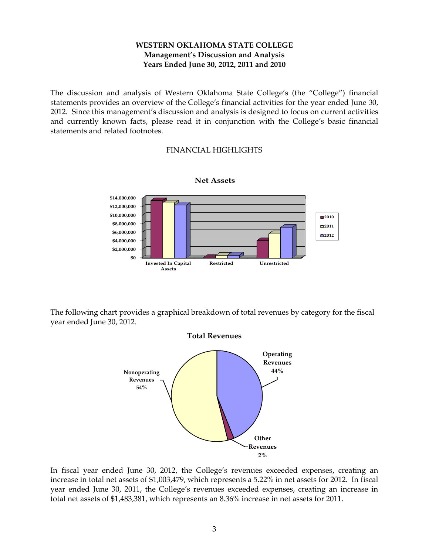The discussion and analysis of Western Oklahoma State College's (the "College") financial statements provides an overview of the College's financial activities for the year ended June 30, 2012. Since this management's discussion and analysis is designed to focus on current activities and currently known facts, please read it in conjunction with the College's basic financial statements and related footnotes.

#### FINANCIAL HIGHLIGHTS





The following chart provides a graphical breakdown of total revenues by category for the fiscal year ended June 30, 2012.



In fiscal year ended June 30, 2012, the College's revenues exceeded expenses, creating an increase in total net assets of \$1,003,479, which represents a 5.22% in net assets for 2012. In fiscal year ended June 30, 2011, the College's revenues exceeded expenses, creating an increase in total net assets of \$1,483,381, which represents an 8.36% increase in net assets for 2011.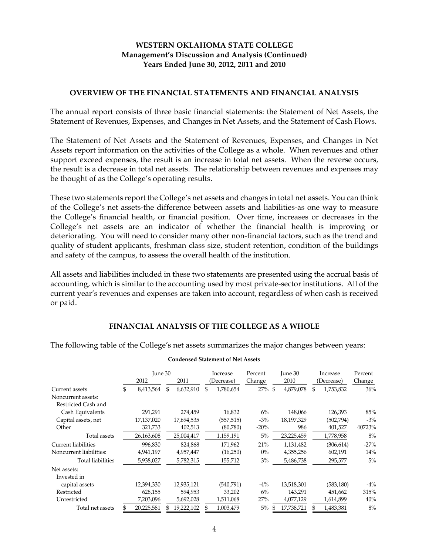#### **OVERVIEW OF THE FINANCIAL STATEMENTS AND FINANCIAL ANALYSIS**

The annual report consists of three basic financial statements: the Statement of Net Assets, the Statement of Revenues, Expenses, and Changes in Net Assets, and the Statement of Cash Flows.

The Statement of Net Assets and the Statement of Revenues, Expenses, and Changes in Net Assets report information on the activities of the College as a whole. When revenues and other support exceed expenses, the result is an increase in total net assets. When the reverse occurs, the result is a decrease in total net assets. The relationship between revenues and expenses may be thought of as the College's operating results.

These two statements report the College's net assets and changes in total net assets. You can think of the College's net assets-the difference between assets and liabilities-as one way to measure the College's financial health, or financial position. Over time, increases or decreases in the College's net assets are an indicator of whether the financial health is improving or deteriorating. You will need to consider many other non-financial factors, such as the trend and quality of student applicants, freshman class size, student retention, condition of the buildings and safety of the campus, to assess the overall health of the institution.

All assets and liabilities included in these two statements are presented using the accrual basis of accounting, which is similar to the accounting used by most private-sector institutions. All of the current year's revenues and expenses are taken into account, regardless of when cash is received or paid.

## **FINANCIAL ANALYSIS OF THE COLLEGE AS A WHOLE**

The following table of the College's net assets summarizes the major changes between years:

|                          | June 30<br>2012  | 2011            | Increase<br>(Decrease) | Percent<br>Change |    | June 30<br>2010 | Increase<br>(Decrease) | Percent<br>Change |
|--------------------------|------------------|-----------------|------------------------|-------------------|----|-----------------|------------------------|-------------------|
| Current assets           | \$<br>8,413,564  | \$<br>6,632,910 | \$<br>1,780,654        | 27%               | \$ | 4,879,078       | \$<br>1,753,832        | 36%               |
| Noncurrent assets:       |                  |                 |                        |                   |    |                 |                        |                   |
| Restricted Cash and      |                  |                 |                        |                   |    |                 |                        |                   |
| Cash Equivalents         | 291,291          | 274,459         | 16,832                 | 6%                |    | 148,066         | 126,393                | 85%               |
| Capital assets, net      | 17,137,020       | 17,694,535      | (557, 515)             | $-3\%$            |    | 18,197,329      | (502,794)              | $-3\%$            |
| Other                    | 321,733          | 402,513         | (80,780)               | $-20%$            |    | 986             | 401,527                | 40723%            |
| Total assets             | 26,163,608       | 25,004,417      | 1,159,191              | 5%                |    | 23,225,459      | 1,778,958              | 8%                |
| Current liabilities      | 996.830          | 824.868         | 171,962                | 21%               |    | 1,131,482       | (306, 614)             | $-27%$            |
| Noncurrent liabilities:  | 4,941,197        | 4,957,447       | (16,250)               | $0\%$             |    | 4,355,256       | 602,191                | 14%               |
| <b>Total liabilities</b> | 5,938,027        | 5,782,315       | 155,712                | $3\%$             |    | 5,486,738       | 295,577                | $5\%$             |
| Net assets:              |                  |                 |                        |                   |    |                 |                        |                   |
| Invested in              |                  |                 |                        |                   |    |                 |                        |                   |
| capital assets           | 12,394,330       | 12,935,121      | (540,791)              | $-4\%$            |    | 13,518,301      | (583, 180)             | $-4\%$            |
| Restricted               | 628,155          | 594,953         | 33,202                 | $6\%$             |    | 143,291         | 451,662                | 315%              |
| Unrestricted             | 7,203,096        | 5,692,028       | 1,511,068              | 27%               |    | 4,077,129       | 1,614,899              | 40%               |
| Total net assets         | \$<br>20,225,581 | 19,222,102      | 1,003,479              | $5\%$             | S  | 17,738,721      | 1,483,381              | 8%                |

#### **Condensed Statement of Net Assets**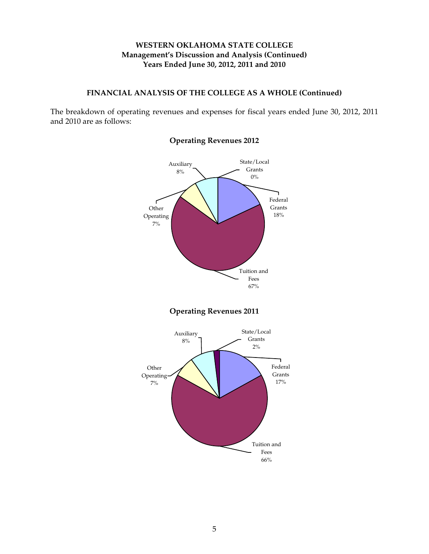## **FINANCIAL ANALYSIS OF THE COLLEGE AS A WHOLE (Continued)**

The breakdown of operating revenues and expenses for fiscal years ended June 30, 2012, 2011 and 2010 are as follows:



## **Operating Revenues 2012**

## **Operating Revenues 2011**

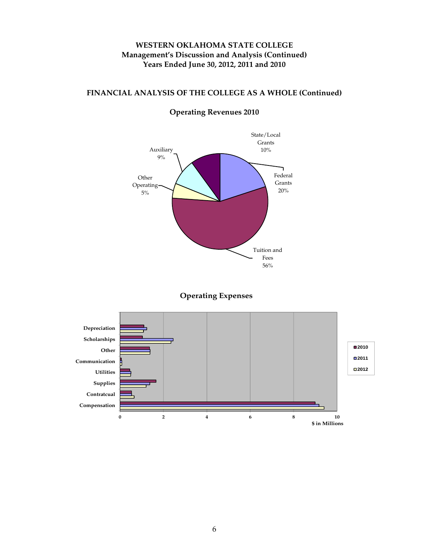#### **FINANCIAL ANALYSIS OF THE COLLEGE AS A WHOLE (Continued)**



#### **Operating Revenues 2010**



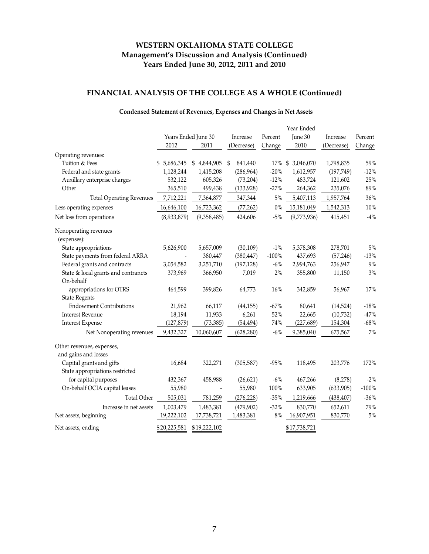## **FINANCIAL ANALYSIS OF THE COLLEGE AS A WHOLE (Continued)**

|                                     |                     |              |               |           | Year Ended   |            |         |
|-------------------------------------|---------------------|--------------|---------------|-----------|--------------|------------|---------|
|                                     | Years Ended June 30 |              | Increase      | Percent   | June 30      | Increase   | Percent |
|                                     | 2012                | 2011         | (Decrease)    | Change    | 2010         | (Decrease) | Change  |
| Operating revenues:                 |                     |              |               |           |              |            |         |
| Tuition & Fees                      | 5,686,345           | \$4,844,905  | 841,440<br>\$ | $17\%$ \$ | 3,046,070    | 1,798,835  | 59%     |
| Federal and state grants            | 1,128,244           | 1,415,208    | (286,964)     | $-20%$    | 1,612,957    | (197, 749) | $-12%$  |
| Auxillary enterprise charges        | 532,122             | 605,326      | (73, 204)     | $-12%$    | 483,724      | 121,602    | $25\%$  |
| Other                               | 365,510             | 499,438      | (133, 928)    | $-27%$    | 264,362      | 235,076    | 89%     |
| <b>Total Operating Revenues</b>     | 7,712,221           | 7,364,877    | 347,344       | $5\%$     | 5,407,113    | 1,957,764  | 36%     |
| Less operating expenses             | 16,646,100          | 16,723,362   | (77, 262)     | $0\%$     | 15,181,049   | 1,542,313  | $10\%$  |
| Net loss from operations            | (8,933,879)         | (9,358,485)  | 424,606       | $-5\%$    | (9,773,936)  | 415,451    | $-4\%$  |
| Nonoperating revenues               |                     |              |               |           |              |            |         |
| (expenses):                         |                     |              |               |           |              |            |         |
| State appropriations                | 5,626,900           | 5,657,009    | (30, 109)     | $-1\%$    | 5,378,308    | 278,701    | $5\%$   |
| State payments from federal ARRA    |                     | 380,447      | (380, 447)    | -100%     | 437,693      | (57, 246)  | $-13%$  |
| Federal grants and contracts        | 3,054,582           | 3,251,710    | (197, 128)    | $-6\%$    | 2,994,763    | 256,947    | $9\%$   |
| State & local grants and contrancts | 373,969             | 366,950      | 7,019         | $2\%$     | 355,800      | 11,150     | $3\%$   |
| On-behalf                           |                     |              |               |           |              |            |         |
| appropriations for OTRS             | 464,599             | 399,826      | 64,773        | $16\%$    | 342,859      | 56,967     | 17%     |
| <b>State Regents</b>                |                     |              |               |           |              |            |         |
| <b>Endowment Contributions</b>      | 21,962              | 66,117       | (44, 155)     | $-67%$    | 80,641       | (14, 524)  | $-18%$  |
| <b>Interest Revenue</b>             | 18,194              | 11,933       | 6,261         | $52\%$    | 22,665       | (10,732)   | $-47%$  |
| <b>Interest Expense</b>             | (127, 879)          | (73, 385)    | (54, 494)     | $74\%$    | (227, 689)   | 154,304    | $-68%$  |
| Net Nonoperating revenues           | 9,432,327           | 10,060,607   | (628, 280)    | $-6\%$    | 9,385,040    | 675,567    | 7%      |
| Other revenues, expenses,           |                     |              |               |           |              |            |         |
| and gains and losses                |                     |              |               |           |              |            |         |
| Capital grants and gifts            | 16,684              | 322,271      | (305, 587)    | $-95%$    | 118,495      | 203,776    | 172%    |
| State appropriations restricted     |                     |              |               |           |              |            |         |
| for capital purposes                | 432,367             | 458,988      | (26, 621)     | $-6\%$    | 467,266      | (8,278)    | $-2\%$  |
| On-behalf OCIA capital leases       | 55,980              |              | 55,980        | $100\%$   | 633,905      | (633,905)  | $-100%$ |
| <b>Total Other</b>                  | 505,031             | 781,259      | (276, 228)    | $-35%$    | 1,219,666    | (438, 407) | $-36%$  |
| Increase in net assets              | 1,003,479           | 1,483,381    | (479, 902)    | $-32%$    | 830,770      | 652,611    | 79%     |
| Net assets, beginning               | 19,222,102          | 17,738,721   | 1,483,381     | $8\%$     | 16,907,951   | 830,770    | $5\%$   |
| Net assets, ending                  | \$20,225,581        | \$19,222,102 |               |           | \$17,738,721 |            |         |

#### **Condensed Statement of Revenues, Expenses and Changes in Net Assets**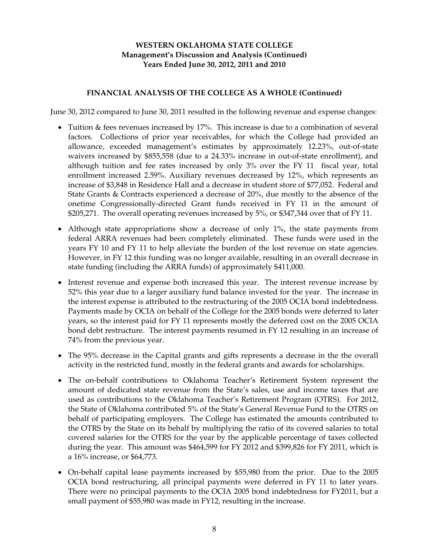## **FINANCIAL ANALYSIS OF THE COLLEGE AS A WHOLE (Continued)**

June 30, 2012 compared to June 30, 2011 resulted in the following revenue and expense changes:

- Tuition & fees revenues increased by 17%. This increase is due to a combination of several factors. Collections of prior year receivables, for which the College had provided an allowance, exceeded management's estimates by approximately 12.23%, out-of-state waivers increased by \$855,558 (due to a 24.33% increase in out-of-state enrollment), and although tuition and fee rates increased by only 3% over the FY 11 fiscal year, total enrollment increased 2.59%. Auxiliary revenues decreased by 12%, which represents an increase of \$3,848 in Residence Hall and a decrease in student store of \$77,052. Federal and State Grants & Contracts experienced a decrease of 20%, due mostly to the absence of the onetime Congressionally-directed Grant funds received in FY 11 in the amount of \$205,271. The overall operating revenues increased by 5%, or \$347,344 over that of FY 11.
- Although state appropriations show a decrease of only 1%, the state payments from federal ARRA revenues had been completely eliminated. These funds were used in the years FY 10 and FY 11 to help alleviate the burden of the lost revenue on state agencies. However, in FY 12 this funding was no longer available, resulting in an overall decrease in state funding (including the ARRA funds) of approximately \$411,000.
- Interest revenue and expense both increased this year. The interest revenue increase by 52% this year due to a larger auxiliary fund balance invested for the year. The increase in the interest expense is attributed to the restructuring of the 2005 OCIA bond indebtedness. Payments made by OCIA on behalf of the College for the 2005 bonds were deferred to later years, so the interest paid for FY 11 represents mostly the deferred cost on the 2005 OCIA bond debt restructure. The interest payments resumed in FY 12 resulting in an increase of 74% from the previous year.
- The 95% decrease in the Capital grants and gifts represents a decrease in the the overall activity in the restricted fund, mostly in the federal grants and awards for scholarships.
- The on-behalf contributions to Oklahoma Teacher's Retirement System represent the amount of dedicated state revenue from the State's sales, use and income taxes that are used as contributions to the Oklahoma Teacher's Retirement Program (OTRS). For 2012, the State of Oklahoma contributed 5% of the State's General Revenue Fund to the OTRS on behalf of participating employers. The College has estimated the amounts contributed to the OTRS by the State on its behalf by multiplying the ratio of its covered salaries to total covered salaries for the OTRS for the year by the applicable percentage of taxes collected during the year. This amount was \$464,599 for FY 2012 and \$399,826 for FY 2011, which is a 16% increase, or \$64,773.
- On-behalf capital lease payments increased by \$55,980 from the prior. Due to the 2005 OCIA bond restructuring, all principal payments were deferred in FY 11 to later years. There were no principal payments to the OCIA 2005 bond indebtedness for FY2011, but a small payment of \$55,980 was made in FY12, resulting in the increase.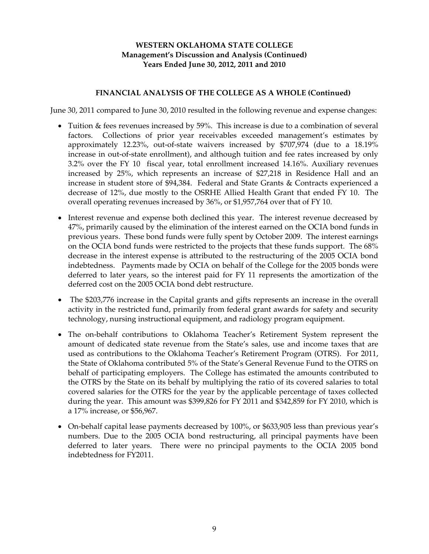## **FINANCIAL ANALYSIS OF THE COLLEGE AS A WHOLE (Continued)**

June 30, 2011 compared to June 30, 2010 resulted in the following revenue and expense changes:

- Tuition & fees revenues increased by 59%. This increase is due to a combination of several factors. Collections of prior year receivables exceeded management's estimates by approximately 12.23%, out-of-state waivers increased by \$707,974 (due to a 18.19% increase in out-of-state enrollment), and although tuition and fee rates increased by only 3.2% over the FY 10 fiscal year, total enrollment increased 14.16%. Auxiliary revenues increased by 25%, which represents an increase of \$27,218 in Residence Hall and an increase in student store of \$94,384. Federal and State Grants & Contracts experienced a decrease of 12%, due mostly to the OSRHE Allied Health Grant that ended FY 10. The overall operating revenues increased by 36%, or \$1,957,764 over that of FY 10.
- Interest revenue and expense both declined this year. The interest revenue decreased by 47%, primarily caused by the elimination of the interest earned on the OCIA bond funds in previous years. These bond funds were fully spent by October 2009. The interest earnings on the OCIA bond funds were restricted to the projects that these funds support. The 68% decrease in the interest expense is attributed to the restructuring of the 2005 OCIA bond indebtedness. Payments made by OCIA on behalf of the College for the 2005 bonds were deferred to later years, so the interest paid for FY 11 represents the amortization of the deferred cost on the 2005 OCIA bond debt restructure.
- The \$203,776 increase in the Capital grants and gifts represents an increase in the overall activity in the restricted fund, primarily from federal grant awards for safety and security technology, nursing instructional equipment, and radiology program equipment.
- The on-behalf contributions to Oklahoma Teacher's Retirement System represent the amount of dedicated state revenue from the State's sales, use and income taxes that are used as contributions to the Oklahoma Teacher's Retirement Program (OTRS). For 2011, the State of Oklahoma contributed 5% of the State's General Revenue Fund to the OTRS on behalf of participating employers. The College has estimated the amounts contributed to the OTRS by the State on its behalf by multiplying the ratio of its covered salaries to total covered salaries for the OTRS for the year by the applicable percentage of taxes collected during the year. This amount was \$399,826 for FY 2011 and \$342,859 for FY 2010, which is a 17% increase, or \$56,967.
- On-behalf capital lease payments decreased by 100%, or \$633,905 less than previous year's numbers. Due to the 2005 OCIA bond restructuring, all principal payments have been deferred to later years. There were no principal payments to the OCIA 2005 bond indebtedness for FY2011.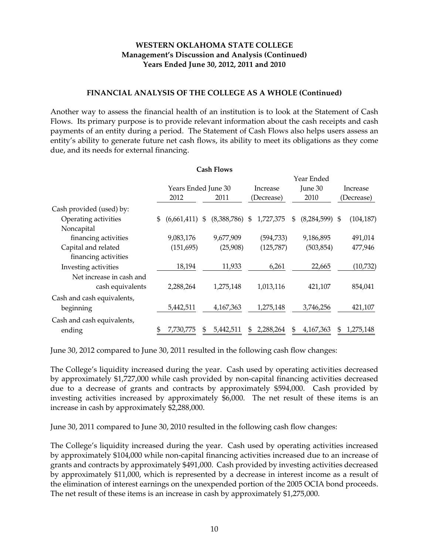#### **FINANCIAL ANALYSIS OF THE COLLEGE AS A WHOLE (Continued)**

Another way to assess the financial health of an institution is to look at the Statement of Cash Flows. Its primary purpose is to provide relevant information about the cash receipts and cash payments of an entity during a period. The Statement of Cash Flows also helps users assess an entity's ability to generate future net cash flows, its ability to meet its obligations as they come due, and its needs for external financing.

**Cash Flows**

|                            |                     |    | Casii Fiows      |   |            |     |             |          |            |
|----------------------------|---------------------|----|------------------|---|------------|-----|-------------|----------|------------|
|                            |                     |    |                  |   |            |     | Year Ended  |          |            |
|                            | Years Ended June 30 |    | Increase         |   | June 30    |     |             | Increase |            |
|                            | 2012                |    | 2011             |   | (Decrease) |     | 2010        |          | (Decrease) |
| Cash provided (used) by:   |                     |    |                  |   |            |     |             |          |            |
| Operating activities       | \$<br>(6,661,411)   | S. | $(8,388,786)$ \$ |   | 1,727,375  | \$  | (8,284,599) | -S       | (104, 187) |
| Noncapital                 |                     |    |                  |   |            |     |             |          |            |
| financing activities       | 9,083,176           |    | 9,677,909        |   | (594, 733) |     | 9,186,895   |          | 491,014    |
| Capital and related        | (151,695)           |    | (25,908)         |   | (125,787)  |     | (503, 854)  |          | 477,946    |
| financing activities       |                     |    |                  |   |            |     |             |          |            |
| Investing activities       | 18,194              |    | 11,933           |   | 6,261      |     | 22,665      |          | (10, 732)  |
| Net increase in cash and   |                     |    |                  |   |            |     |             |          |            |
| cash equivalents           | 2,288,264           |    | 1,275,148        |   | 1,013,116  |     | 421,107     |          | 854,041    |
| Cash and cash equivalents, |                     |    |                  |   |            |     |             |          |            |
| beginning                  | 5,442,511           |    | 4,167,363        |   | 1,275,148  |     | 3,746,256   |          | 421,107    |
| Cash and cash equivalents, |                     |    |                  |   |            |     |             |          |            |
| ending                     | \$<br>7,730,775     | \$ | 5,442,511        | S | 2,288,264  | \$. | 4,167,363   | \$       | 1,275,148  |

June 30, 2012 compared to June 30, 2011 resulted in the following cash flow changes:

The College's liquidity increased during the year. Cash used by operating activities decreased by approximately \$1,727,000 while cash provided by non-capital financing activities decreased due to a decrease of grants and contracts by approximately \$594,000. Cash provided by investing activities increased by approximately \$6,000. The net result of these items is an increase in cash by approximately \$2,288,000.

June 30, 2011 compared to June 30, 2010 resulted in the following cash flow changes:

The College's liquidity increased during the year. Cash used by operating activities increased by approximately \$104,000 while non-capital financing activities increased due to an increase of grants and contracts by approximately \$491,000. Cash provided by investing activities decreased by approximately \$11,000, which is represented by a decrease in interest income as a result of the elimination of interest earnings on the unexpended portion of the 2005 OCIA bond proceeds. The net result of these items is an increase in cash by approximately \$1,275,000.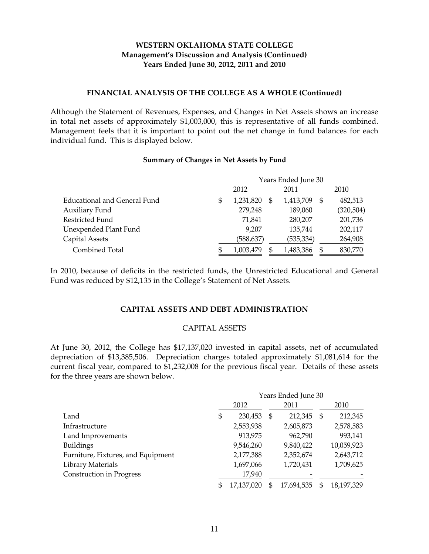#### **FINANCIAL ANALYSIS OF THE COLLEGE AS A WHOLE (Continued)**

Although the Statement of Revenues, Expenses, and Changes in Net Assets shows an increase in total net assets of approximately \$1,003,000, this is representative of all funds combined. Management feels that it is important to point out the net change in fund balances for each individual fund. This is displayed below.

#### **Summary of Changes in Net Assets by Fund**

|                                     | Years Ended June 30 |            |     |            |    |            |  |  |
|-------------------------------------|---------------------|------------|-----|------------|----|------------|--|--|
|                                     |                     | 2012       |     | 2011       |    | 2010       |  |  |
| <b>Educational and General Fund</b> |                     | 1,231,820  | \$. | 1,413,709  | -5 | 482,513    |  |  |
| Auxiliary Fund                      |                     | 279,248    |     | 189,060    |    | (320, 504) |  |  |
| Restricted Fund                     |                     | 71,841     |     | 280,207    |    | 201,736    |  |  |
| Unexpended Plant Fund               |                     | 9,207      |     | 135,744    |    | 202,117    |  |  |
| Capital Assets                      |                     | (588, 637) |     | (535, 334) |    | 264,908    |  |  |
| Combined Total                      |                     | 1,003,479  |     | 1,483,386  | -S | 830,770    |  |  |

In 2010, because of deficits in the restricted funds, the Unrestricted Educational and General Fund was reduced by \$12,135 in the College's Statement of Net Assets.

#### **CAPITAL ASSETS AND DEBT ADMINISTRATION**

#### CAPITAL ASSETS

At June 30, 2012, the College has \$17,137,020 invested in capital assets, net of accumulated depreciation of \$13,385,506. Depreciation charges totaled approximately \$1,081,614 for the current fiscal year, compared to \$1,232,008 for the previous fiscal year. Details of these assets for the three years are shown below.

|                                    | Years Ended June 30 |            |     |            |      |            |
|------------------------------------|---------------------|------------|-----|------------|------|------------|
|                                    |                     | 2012       |     | 2011       |      | 2010       |
| Land                               |                     | 230,453    | - S | 212,345    | - \$ | 212,345    |
| Infrastructure                     |                     | 2,553,938  |     | 2,605,873  |      | 2,578,583  |
| Land Improvements                  |                     | 913,975    |     | 962,790    |      | 993,141    |
| <b>Buildings</b>                   |                     | 9,546,260  |     | 9,840,422  |      | 10,059,923 |
| Furniture, Fixtures, and Equipment |                     | 2,177,388  |     | 2,352,674  |      | 2,643,712  |
| Library Materials                  |                     | 1,697,066  |     | 1,720,431  |      | 1,709,625  |
| Construction in Progress           |                     | 17,940     |     |            |      |            |
|                                    |                     | 17,137,020 |     | 17,694,535 |      | 18,197,329 |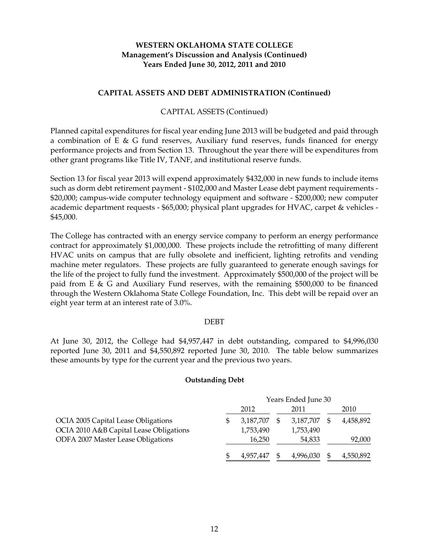#### **CAPITAL ASSETS AND DEBT ADMINISTRATION (Continued)**

#### CAPITAL ASSETS (Continued)

Planned capital expenditures for fiscal year ending June 2013 will be budgeted and paid through a combination of E & G fund reserves, Auxiliary fund reserves, funds financed for energy performance projects and from Section 13. Throughout the year there will be expenditures from other grant programs like Title IV, TANF, and institutional reserve funds.

Section 13 for fiscal year 2013 will expend approximately \$432,000 in new funds to include items such as dorm debt retirement payment - \$102,000 and Master Lease debt payment requirements - \$20,000; campus-wide computer technology equipment and software - \$200,000; new computer academic department requests - \$65,000; physical plant upgrades for HVAC, carpet & vehicles - \$45,000.

The College has contracted with an energy service company to perform an energy performance contract for approximately \$1,000,000. These projects include the retrofitting of many different HVAC units on campus that are fully obsolete and inefficient, lighting retrofits and vending machine meter regulators. These projects are fully guaranteed to generate enough savings for the life of the project to fully fund the investment. Approximately \$500,000 of the project will be paid from E & G and Auxiliary Fund reserves, with the remaining \$500,000 to be financed through the Western Oklahoma State College Foundation, Inc. This debt will be repaid over an eight year term at an interest rate of 3.0%.

#### DEBT

At June 30, 2012, the College had \$4,957,447 in debt outstanding, compared to \$4,996,030 reported June 30, 2011 and \$4,550,892 reported June 30, 2010. The table below summarizes these amounts by type for the current year and the previous two years.

#### **Outstanding Debt**

|                                         | Years Ended June 30 |           |  |           |  |           |  |
|-----------------------------------------|---------------------|-----------|--|-----------|--|-----------|--|
|                                         |                     | 2012      |  | 2011      |  | 2010      |  |
| OCIA 2005 Capital Lease Obligations     |                     | 3,187,707 |  | 3,187,707 |  | 4,458,892 |  |
| OCIA 2010 A&B Capital Lease Obligations |                     | 1,753,490 |  | 1,753,490 |  |           |  |
| ODFA 2007 Master Lease Obligations      |                     | 16,250    |  | 54,833    |  | 92,000    |  |
|                                         |                     | 4,957,447 |  | 4,996,030 |  | 4,550,892 |  |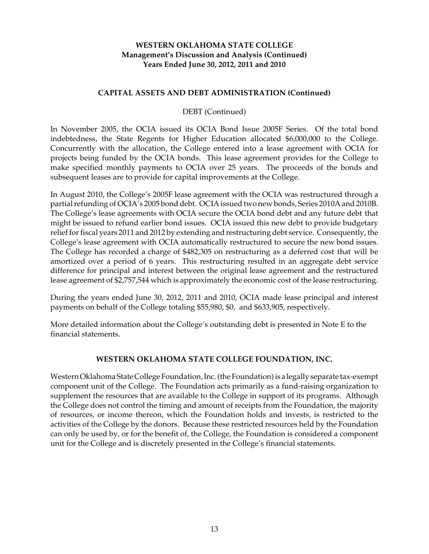#### **CAPITAL ASSETS AND DEBT ADMINISTRATION (Continued)**

#### DEBT (Continued)

In November 2005, the OCIA issued its OCIA Bond Issue 2005F Series. Of the total bond indebtedness, the State Regents for Higher Education allocated \$6,000,000 to the College. Concurrently with the allocation, the College entered into a lease agreement with OCIA for projects being funded by the OCIA bonds. This lease agreement provides for the College to make specified monthly payments to OCIA over 25 years. The proceeds of the bonds and subsequent leases are to provide for capital improvements at the College.

In August 2010, the College's 2005F lease agreement with the OCIA was restructured through a partial refunding of OCIA's 2005 bond debt. OCIA issued two new bonds, Series 2010A and 2010B. The College's lease agreements with OCIA secure the OCIA bond debt and any future debt that might be issued to refund earlier bond issues. OCIA issued this new debt to provide budgetary relief forfiscal years 2011 and 2012 by extending and restructuring debt service. Consequently, the College's lease agreement with OCIA automatically restructured to secure the new bond issues. The College has recorded a charge of \$482,305 on restructuring as a deferred cost that will be amortized over a period of 6 years. This restructuring resulted in an aggregate debt service difference for principal and interest between the original lease agreement and the restructured lease agreement of \$2,757,544 which is approximately the economic cost of the lease restructuring.

During the years ended June 30, 2012, 2011 and 2010, OCIA made lease principal and interest payments on behalf of the College totaling \$55,980, \$0, and \$633,905, respectively.

More detailed information about the College's outstanding debt is presented in Note E to the financial statements.

## **WESTERN OKLAHOMA STATE COLLEGE FOUNDATION, INC.**

Western Oklahoma State College Foundation, Inc. (the Foundation) is a legally separate tax-exempt component unit of the College. The Foundation acts primarily as a fund-raising organization to supplement the resources that are available to the College in support of its programs. Although the College does not control the timing and amount of receipts from the Foundation, the majority of resources, or income thereon, which the Foundation holds and invests, is restricted to the activities of the College by the donors. Because these restricted resources held by the Foundation can only be used by, or for the benefit of, the College, the Foundation is considered a component unit for the College and is discretely presented in the College's financial statements.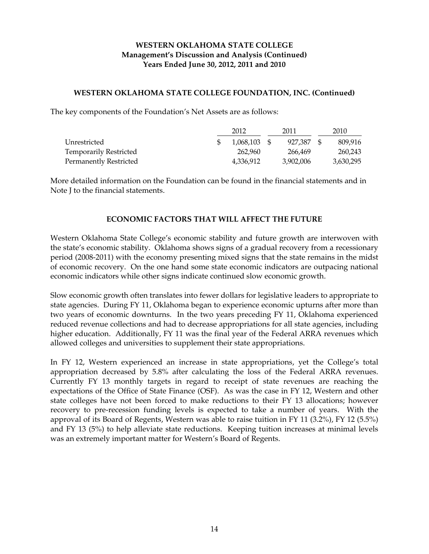#### **WESTERN OKLAHOMA STATE COLLEGE FOUNDATION, INC. (Continued)**

The key components of the Foundation's Net Assets are as follows:

|                               |  | 2012           | 2011 |            |  | 2010      |  |  |
|-------------------------------|--|----------------|------|------------|--|-----------|--|--|
| Unrestricted                  |  | $1.068.103$ \$ |      | 927.387 \$ |  | 809.916   |  |  |
| <b>Temporarily Restricted</b> |  | 262.960        |      | 266.469    |  | 260.243   |  |  |
| <b>Permanently Restricted</b> |  | 4.336.912      |      | 3.902.006  |  | 3,630,295 |  |  |

More detailed information on the Foundation can be found in the financial statements and in Note I to the financial statements.

## **ECONOMIC FACTORS THAT WILL AFFECT THE FUTURE**

Western Oklahoma State College's economic stability and future growth are interwoven with the state's economic stability. Oklahoma shows signs of a gradual recovery from a recessionary period (2008-2011) with the economy presenting mixed signs that the state remains in the midst of economic recovery. On the one hand some state economic indicators are outpacing national economic indicators while other signs indicate continued slow economic growth.

Slow economic growth often translates into fewer dollars for legislative leaders to appropriate to state agencies. During FY 11, Oklahoma began to experience economic upturns after more than two years of economic downturns. In the two years preceding FY 11, Oklahoma experienced reduced revenue collections and had to decrease appropriations for all state agencies, including higher education. Additionally, FY 11 was the final year of the Federal ARRA revenues which allowed colleges and universities to supplement their state appropriations.

In FY 12, Western experienced an increase in state appropriations, yet the College's total appropriation decreased by 5.8% after calculating the loss of the Federal ARRA revenues. Currently FY 13 monthly targets in regard to receipt of state revenues are reaching the expectations of the Office of State Finance (OSF). As was the case in FY 12, Western and other state colleges have not been forced to make reductions to their FY 13 allocations; however recovery to pre-recession funding levels is expected to take a number of years. With the approval of its Board of Regents, Western was able to raise tuition in FY 11 (3.2%), FY 12 (5.5%) and FY 13 (5%) to help alleviate state reductions. Keeping tuition increases at minimal levels was an extremely important matter for Western's Board of Regents.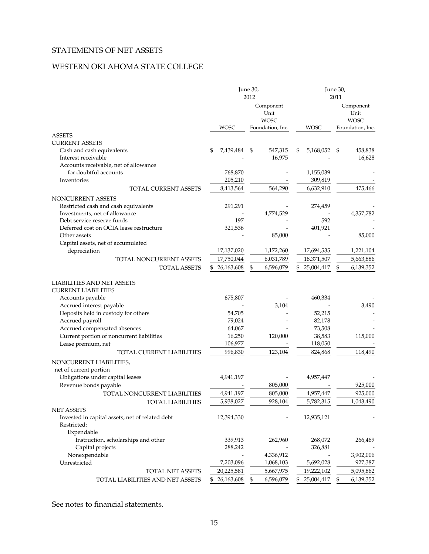## STATEMENTS OF NET ASSETS

# WESTERN OKLAHOMA STATE COLLEGE

|                                                                |                                  | June 30,<br>2012 | June 30,<br>2011 |                                  |  |  |
|----------------------------------------------------------------|----------------------------------|------------------|------------------|----------------------------------|--|--|
|                                                                | Component<br>Unit<br><b>WOSC</b> |                  |                  | Component<br>Unit<br><b>WOSC</b> |  |  |
|                                                                | <b>WOSC</b>                      | Foundation, Inc. | WOSC             | Foundation, Inc.                 |  |  |
| <b>ASSETS</b>                                                  |                                  |                  |                  |                                  |  |  |
| <b>CURRENT ASSETS</b>                                          |                                  |                  |                  |                                  |  |  |
| Cash and cash equivalents                                      | \$<br>7,439,484                  | 547,315<br>- \$  | \$<br>5,168,052  | \$<br>458,838                    |  |  |
| Interest receivable<br>Accounts receivable, net of allowance   |                                  | 16,975           |                  | 16,628                           |  |  |
| for doubtful accounts                                          | 768,870                          |                  | 1,155,039        |                                  |  |  |
| Inventories                                                    | 205,210                          |                  | 309,819          |                                  |  |  |
| <b>TOTAL CURRENT ASSETS</b>                                    | 8,413,564                        | 564,290          | 6,632,910        | 475,466                          |  |  |
|                                                                |                                  |                  |                  |                                  |  |  |
| NONCURRENT ASSETS                                              |                                  |                  |                  |                                  |  |  |
| Restricted cash and cash equivalents                           | 291,291                          |                  | 274,459          |                                  |  |  |
| Investments, net of allowance<br>Debt service reserve funds    | 197                              | 4,774,529        | 592              | 4,357,782                        |  |  |
| Deferred cost on OCIA lease restructure                        | 321,536                          |                  | 401,921          |                                  |  |  |
| Other assets                                                   |                                  | 85,000           |                  | 85,000                           |  |  |
| Capital assets, net of accumulated                             |                                  |                  |                  |                                  |  |  |
| depreciation                                                   | 17,137,020                       | 1,172,260        | 17,694,535       | 1,221,104                        |  |  |
| TOTAL NONCURRENT ASSETS                                        | 17,750,044                       | 6,031,789        | 18,371,507       | 5,663,886                        |  |  |
| <b>TOTAL ASSETS</b>                                            | \$.<br>26,163,608                | \$<br>6,596,079  | \$<br>25,004,417 | \$<br>6,139,352                  |  |  |
|                                                                |                                  |                  |                  |                                  |  |  |
| <b>LIABILITIES AND NET ASSETS</b>                              |                                  |                  |                  |                                  |  |  |
| <b>CURRENT LIABILITIES</b>                                     | 675,807                          |                  | 460,334          |                                  |  |  |
| Accounts payable<br>Accrued interest payable                   |                                  | 3,104            |                  | 3,490                            |  |  |
| Deposits held in custody for others                            | 54,705                           |                  | 52,215           |                                  |  |  |
| Accrued payroll                                                | 79,024                           |                  | 82,178           |                                  |  |  |
| Accrued compensated absences                                   | 64,067                           |                  | 73,508           |                                  |  |  |
| Current portion of noncurrent liabilities                      | 16,250                           | 120,000          | 38,583           | 115,000                          |  |  |
| Lease premium, net                                             | 106,977                          |                  | 118,050          |                                  |  |  |
| TOTAL CURRENT LIABILITIES                                      | 996,830                          | 123,104          | 824,868          | 118,490                          |  |  |
|                                                                |                                  |                  |                  |                                  |  |  |
| NONCURRENT LIABILITIES,                                        |                                  |                  |                  |                                  |  |  |
| net of current portion                                         |                                  |                  |                  |                                  |  |  |
| Obligations under capital leases                               | 4,941,197                        | 805,000          | 4,957,447        | 925,000                          |  |  |
| Revenue bonds payable                                          |                                  |                  |                  |                                  |  |  |
| TOTAL NONCURRENT LIABILITIES                                   | 4,941,197                        | 805,000          | 4,957,447        | 925,000                          |  |  |
| <b>TOTAL LIABILITIES</b>                                       | 5,938,027                        | 928,104          | 5,782,315        | 1,043,490                        |  |  |
| <b>NET ASSETS</b>                                              |                                  |                  |                  |                                  |  |  |
| Invested in capital assets, net of related debt<br>Restricted: | 12,394,330                       |                  | 12,935,121       |                                  |  |  |
| Expendable                                                     |                                  |                  |                  |                                  |  |  |
| Instruction, scholarships and other                            | 339,913                          | 262,960          | 268,072          | 266,469                          |  |  |
| Capital projects                                               | 288,242                          |                  | 326,881          |                                  |  |  |
| Nonexpendable                                                  |                                  | 4,336,912        |                  | 3,902,006                        |  |  |
| Unrestricted                                                   | 7,203,096                        | 1,068,103        | 5,692,028        | 927,387                          |  |  |
| <b>TOTAL NET ASSETS</b>                                        | 20,225,581                       | 5,667,975        | 19,222,102       | 5,095,862                        |  |  |
| TOTAL LIABILITIES AND NET ASSETS                               | 26,163,608                       | 6,596,079<br>\$  | 25,004,417       | 6,139,352<br>\$                  |  |  |
|                                                                |                                  |                  |                  |                                  |  |  |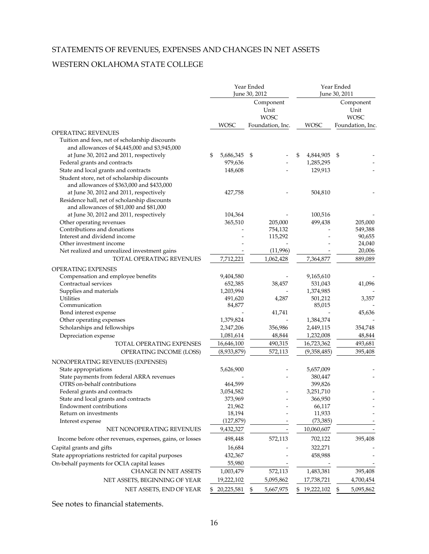# STATEMENTS OF REVENUES, EXPENSES AND CHANGES IN NET ASSETS

## WESTERN OKLAHOMA STATE COLLEGE

|                                                          |                 | Year Ended<br>June 30, 2012      |                  | Year Ended<br>June 30, 2011      |
|----------------------------------------------------------|-----------------|----------------------------------|------------------|----------------------------------|
|                                                          | <b>WOSC</b>     | Component<br>Unit<br><b>WOSC</b> | <b>WOSC</b>      | Component<br>Unit<br><b>WOSC</b> |
| OPERATING REVENUES                                       |                 | Foundation, Inc.                 |                  | Foundation, Inc.                 |
| Tuition and fees, net of scholarship discounts           |                 |                                  |                  |                                  |
| and allowances of \$4,445,000 and \$3,945,000            |                 |                                  |                  |                                  |
| at June 30, 2012 and 2011, respectively                  | 5,686,345<br>\$ | \$                               | \$<br>4,844,905  | \$                               |
| Federal grants and contracts                             | 979,636         |                                  | 1,285,295        |                                  |
| State and local grants and contracts                     | 148,608         |                                  | 129,913          |                                  |
| Student store, net of scholarship discounts              |                 |                                  |                  |                                  |
| and allowances of \$363,000 and \$433,000                |                 |                                  |                  |                                  |
| at June 30, 2012 and 2011, respectively                  | 427,758         |                                  | 504,810          |                                  |
| Residence hall, net of scholarship discounts             |                 |                                  |                  |                                  |
| and allowances of \$81,000 and \$81,000                  |                 |                                  |                  |                                  |
| at June 30, 2012 and 2011, respectively                  | 104,364         |                                  | 100,516          |                                  |
| Other operating revenues                                 | 365,510         | 205,000                          | 499,438          | 205,000                          |
| Contributions and donations                              |                 | 754,132                          |                  | 549,388                          |
| Interest and dividend income                             |                 | 115,292                          |                  | 90,655                           |
| Other investment income                                  |                 |                                  |                  | 24,040                           |
| Net realized and unrealized investment gains             |                 | (11,996)                         |                  | 20,006                           |
| <b>TOTAL OPERATING REVENUES</b>                          | 7,712,221       | 1,062,428                        | 7,364,877        | 889,089                          |
| <b>OPERATING EXPENSES</b>                                |                 |                                  |                  |                                  |
| Compensation and employee benefits                       | 9,404,580       |                                  | 9,165,610        |                                  |
| Contractual services                                     | 652,385         | 38,457                           | 531,043          | 41,096                           |
| Supplies and materials                                   | 1,203,994       |                                  | 1,374,985        |                                  |
| Utilities                                                | 491,620         | 4,287                            | 501,212          | 3,357                            |
| Communication                                            | 84,877          |                                  | 85,015           |                                  |
| Bond interest expense                                    |                 | 41,741                           |                  | 45,636                           |
| Other operating expenses                                 | 1,379,824       |                                  | 1,384,374        |                                  |
| Scholarships and fellowships                             | 2,347,206       | 356,986                          | 2,449,115        | 354,748                          |
| Depreciation expense                                     | 1,081,614       | 48,844                           | 1,232,008        | 48,844                           |
| TOTAL OPERATING EXPENSES                                 | 16,646,100      | 490,315                          | 16,723,362       | 493,681                          |
| OPERATING INCOME (LOSS)                                  | (8,933,879)     | 572,113                          | (9,358,485)      | 395,408                          |
| NONOPERATING REVENUES (EXPENSES)                         |                 |                                  |                  |                                  |
| State appropriations                                     | 5,626,900       |                                  | 5,657,009        |                                  |
| State payments from federal ARRA revenues                |                 |                                  | 380,447          |                                  |
| OTRS on-behalf contributions                             | 464,599         |                                  | 399,826          |                                  |
| Federal grants and contracts                             | 3,054,582       |                                  | 3,251,710        |                                  |
| State and local grants and contracts                     | 373,969         |                                  | 366,950          |                                  |
| Endowment contributions                                  | 21,962          |                                  | 66,117           |                                  |
| Return on investments                                    | 18,194          |                                  | 11,933           |                                  |
| Interest expense                                         | (127, 879)      |                                  | (73, 385)        |                                  |
| NET NONOPERATING REVENUES                                | 9,432,327       |                                  | 10,060,607       |                                  |
| Income before other revenues, expenses, gains, or losses | 498,448         | 572,113                          | 702,122          | 395,408                          |
| Capital grants and gifts                                 | 16,684          |                                  | 322,271          |                                  |
| State appropriations restricted for capital purposes     | 432,367         |                                  | 458,988          |                                  |
| On-behalf payments for OCIA capital leases               | 55,980          |                                  |                  |                                  |
| CHANGE IN NET ASSETS                                     | 1,003,479       | 572,113                          | 1,483,381        | 395,408                          |
| NET ASSETS, BEGINNING OF YEAR                            | 19,222,102      | 5,095,862                        | 17,738,721       | 4,700,454                        |
| NET ASSETS, END OF YEAR                                  | 20,225,581      | \$<br>5,667,975                  | 19,222,102<br>\$ | \$<br>5,095,862                  |
|                                                          |                 |                                  |                  |                                  |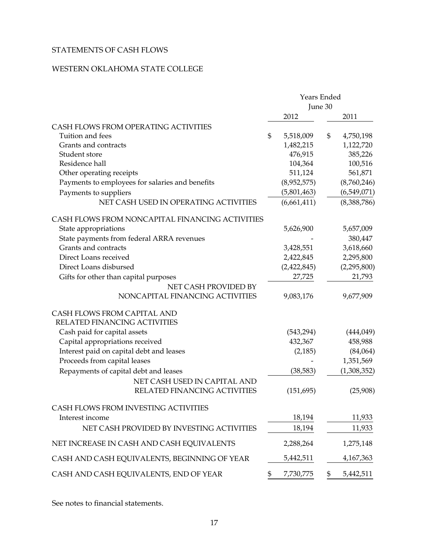# STATEMENTS OF CASH FLOWS

# WESTERN OKLAHOMA STATE COLLEGE

|                                                              | Years Ended<br>June 30 |             |    |             |  |
|--------------------------------------------------------------|------------------------|-------------|----|-------------|--|
|                                                              |                        | 2012        |    | 2011        |  |
| CASH FLOWS FROM OPERATING ACTIVITIES                         |                        |             |    |             |  |
| Tuition and fees                                             | \$                     | 5,518,009   | \$ | 4,750,198   |  |
| Grants and contracts                                         |                        | 1,482,215   |    | 1,122,720   |  |
| Student store                                                |                        | 476,915     |    | 385,226     |  |
| Residence hall                                               |                        | 104,364     |    | 100,516     |  |
| Other operating receipts                                     |                        | 511,124     |    | 561,871     |  |
| Payments to employees for salaries and benefits              |                        | (8,952,575) |    | (8,760,246) |  |
| Payments to suppliers                                        |                        | (5,801,463) |    | (6,549,071) |  |
| NET CASH USED IN OPERATING ACTIVITIES                        |                        | (6,661,411) |    | (8,388,786) |  |
| CASH FLOWS FROM NONCAPITAL FINANCING ACTIVITIES              |                        |             |    |             |  |
| State appropriations                                         |                        | 5,626,900   |    | 5,657,009   |  |
| State payments from federal ARRA revenues                    |                        |             |    | 380,447     |  |
| Grants and contracts                                         |                        | 3,428,551   |    | 3,618,660   |  |
| Direct Loans received                                        |                        | 2,422,845   |    | 2,295,800   |  |
| Direct Loans disbursed                                       |                        | (2,422,845) |    | (2,295,800) |  |
| Gifts for other than capital purposes                        |                        | 27,725      |    | 21,793      |  |
| NET CASH PROVIDED BY                                         |                        |             |    |             |  |
| NONCAPITAL FINANCING ACTIVITIES                              |                        | 9,083,176   |    | 9,677,909   |  |
| CASH FLOWS FROM CAPITAL AND                                  |                        |             |    |             |  |
| RELATED FINANCING ACTIVITIES                                 |                        |             |    |             |  |
| Cash paid for capital assets                                 |                        | (543, 294)  |    | (444, 049)  |  |
| Capital appropriations received                              |                        | 432,367     |    | 458,988     |  |
| Interest paid on capital debt and leases                     |                        | (2,185)     |    | (84,064)    |  |
| Proceeds from capital leases                                 |                        |             |    | 1,351,569   |  |
| Repayments of capital debt and leases                        |                        | (38, 583)   |    | (1,308,352) |  |
| NET CASH USED IN CAPITAL AND<br>RELATED FINANCING ACTIVITIES |                        | (151, 695)  |    | (25,908)    |  |
| CASH FLOWS FROM INVESTING ACTIVITIES                         |                        |             |    |             |  |
| Interest income                                              |                        | 18,194      |    | 11,933      |  |
| NET CASH PROVIDED BY INVESTING ACTIVITIES                    |                        | 18,194      |    | 11,933      |  |
| NET INCREASE IN CASH AND CASH EQUIVALENTS                    |                        | 2,288,264   |    | 1,275,148   |  |
| CASH AND CASH EQUIVALENTS, BEGINNING OF YEAR                 |                        | 5,442,511   |    | 4, 167, 363 |  |
| CASH AND CASH EQUIVALENTS, END OF YEAR                       | \$                     | 7,730,775   | \$ | 5,442,511   |  |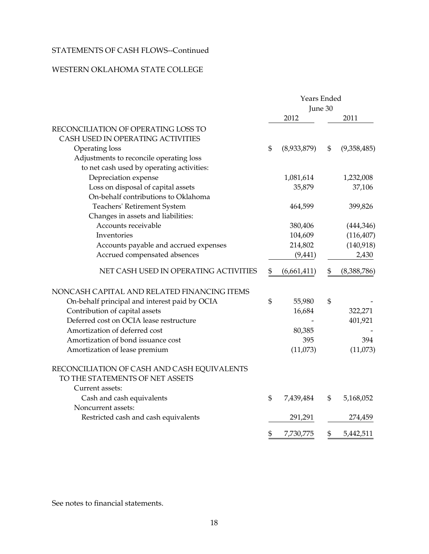# STATEMENTS OF CASH FLOWS--Continued

# WESTERN OKLAHOMA STATE COLLEGE

|                                               | Years Ended |             |         |             |  |
|-----------------------------------------------|-------------|-------------|---------|-------------|--|
|                                               |             |             | June 30 |             |  |
|                                               |             | 2012        |         | 2011        |  |
| RECONCILIATION OF OPERATING LOSS TO           |             |             |         |             |  |
| CASH USED IN OPERATING ACTIVITIES             |             |             |         |             |  |
| Operating loss                                | \$          | (8,933,879) | \$      | (9,358,485) |  |
| Adjustments to reconcile operating loss       |             |             |         |             |  |
| to net cash used by operating activities:     |             |             |         |             |  |
| Depreciation expense                          |             | 1,081,614   |         | 1,232,008   |  |
| Loss on disposal of capital assets            |             | 35,879      |         | 37,106      |  |
| On-behalf contributions to Oklahoma           |             |             |         |             |  |
| Teachers' Retirement System                   |             | 464,599     |         | 399,826     |  |
| Changes in assets and liabilities:            |             |             |         |             |  |
| Accounts receivable                           |             | 380,406     |         | (444, 346)  |  |
| Inventories                                   |             | 104,609     |         | (116, 407)  |  |
| Accounts payable and accrued expenses         |             | 214,802     |         | (140, 918)  |  |
| Accrued compensated absences                  |             | (9, 441)    |         | 2,430       |  |
| NET CASH USED IN OPERATING ACTIVITIES         | \$          | (6,661,411) | \$      | (8,388,786) |  |
| NONCASH CAPITAL AND RELATED FINANCING ITEMS   |             |             |         |             |  |
| On-behalf principal and interest paid by OCIA | \$          | 55,980      | \$      |             |  |
| Contribution of capital assets                |             | 16,684      |         | 322,271     |  |
| Deferred cost on OCIA lease restructure       |             |             |         | 401,921     |  |
| Amortization of deferred cost                 |             | 80,385      |         |             |  |
| Amortization of bond issuance cost            |             | 395         |         | 394         |  |
| Amortization of lease premium                 |             | (11,073)    |         | (11,073)    |  |
| RECONCILIATION OF CASH AND CASH EQUIVALENTS   |             |             |         |             |  |
| TO THE STATEMENTS OF NET ASSETS               |             |             |         |             |  |
| Current assets:                               |             |             |         |             |  |
| Cash and cash equivalents                     | \$          | 7,439,484   | \$      | 5,168,052   |  |
| Noncurrent assets:                            |             |             |         |             |  |
| Restricted cash and cash equivalents          |             | 291,291     |         | 274,459     |  |
|                                               | \$          | 7,730,775   | \$      | 5,442,511   |  |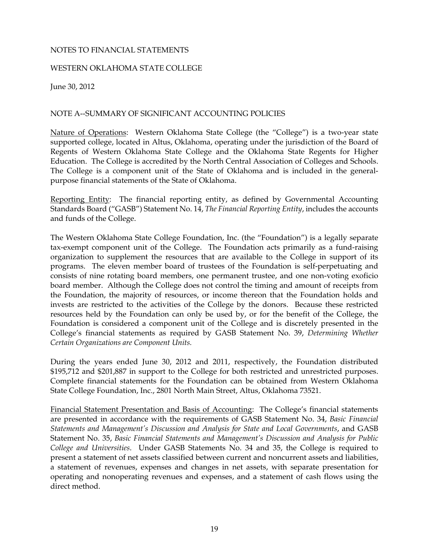## NOTES TO FINANCIAL STATEMENTS

## WESTERN OKLAHOMA STATE COLLEGE

June 30, 2012

## NOTE A--SUMMARY OF SIGNIFICANT ACCOUNTING POLICIES

Nature of Operations: Western Oklahoma State College (the "College") is a two-year state supported college, located in Altus, Oklahoma, operating under the jurisdiction of the Board of Regents of Western Oklahoma State College and the Oklahoma State Regents for Higher Education. The College is accredited by the North Central Association of Colleges and Schools. The College is a component unit of the State of Oklahoma and is included in the generalpurpose financial statements of the State of Oklahoma.

Reporting Entity: The financial reporting entity, as defined by Governmental Accounting Standards Board ("GASB") Statement No. 14, *The Financial Reporting Entity*, includes the accounts and funds of the College.

The Western Oklahoma State College Foundation, Inc. (the "Foundation") is a legally separate tax-exempt component unit of the College. The Foundation acts primarily as a fund-raising organization to supplement the resources that are available to the College in support of its programs. The eleven member board of trustees of the Foundation is self-perpetuating and consists of nine rotating board members, one permanent trustee, and one non-voting exoficio board member. Although the College does not control the timing and amount of receipts from the Foundation, the majority of resources, or income thereon that the Foundation holds and invests are restricted to the activities of the College by the donors. Because these restricted resources held by the Foundation can only be used by, or for the benefit of the College, the Foundation is considered a component unit of the College and is discretely presented in the College's financial statements as required by GASB Statement No. 39, *Determining Whether Certain Organizations are Component Units.* 

During the years ended June 30, 2012 and 2011, respectively, the Foundation distributed \$195,712 and \$201,887 in support to the College for both restricted and unrestricted purposes. Complete financial statements for the Foundation can be obtained from Western Oklahoma State College Foundation, Inc., 2801 North Main Street, Altus, Oklahoma 73521.

Financial Statement Presentation and Basis of Accounting: The College's financial statements are presented in accordance with the requirements of GASB Statement No. 34, *Basic Financial Statements and Management's Discussion and Analysis for State and Local Governments*, and GASB Statement No. 35, *Basic Financial Statements and Management's Discussion and Analysis for Public College and Universities*. Under GASB Statements No. 34 and 35, the College is required to present a statement of net assets classified between current and noncurrent assets and liabilities, a statement of revenues, expenses and changes in net assets, with separate presentation for operating and nonoperating revenues and expenses, and a statement of cash flows using the direct method.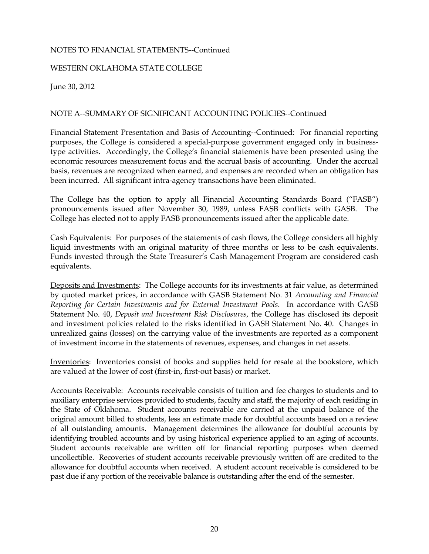## WESTERN OKLAHOMA STATE COLLEGE

June 30, 2012

## NOTE A--SUMMARY OF SIGNIFICANT ACCOUNTING POLICIES--Continued

Financial Statement Presentation and Basis of Accounting--Continued: For financial reporting purposes, the College is considered a special-purpose government engaged only in businesstype activities. Accordingly, the College's financial statements have been presented using the economic resources measurement focus and the accrual basis of accounting. Under the accrual basis, revenues are recognized when earned, and expenses are recorded when an obligation has been incurred. All significant intra-agency transactions have been eliminated.

The College has the option to apply all Financial Accounting Standards Board ("FASB") pronouncements issued after November 30, 1989, unless FASB conflicts with GASB. The College has elected not to apply FASB pronouncements issued after the applicable date.

Cash Equivalents: For purposes of the statements of cash flows, the College considers all highly liquid investments with an original maturity of three months or less to be cash equivalents. Funds invested through the State Treasurer's Cash Management Program are considered cash equivalents.

Deposits and Investments: The College accounts for its investments at fair value, as determined by quoted market prices, in accordance with GASB Statement No. 31 *Accounting and Financial Reporting for Certain Investments and for External Investment Pools*. In accordance with GASB Statement No. 40, *Deposit and Investment Risk Disclosures*, the College has disclosed its deposit and investment policies related to the risks identified in GASB Statement No. 40. Changes in unrealized gains (losses) on the carrying value of the investments are reported as a component of investment income in the statements of revenues, expenses, and changes in net assets.

Inventories: Inventories consist of books and supplies held for resale at the bookstore, which are valued at the lower of cost (first-in, first-out basis) or market.

Accounts Receivable: Accounts receivable consists of tuition and fee charges to students and to auxiliary enterprise services provided to students, faculty and staff, the majority of each residing in the State of Oklahoma. Student accounts receivable are carried at the unpaid balance of the original amount billed to students, less an estimate made for doubtful accounts based on a review of all outstanding amounts. Management determines the allowance for doubtful accounts by identifying troubled accounts and by using historical experience applied to an aging of accounts. Student accounts receivable are written off for financial reporting purposes when deemed uncollectible. Recoveries of student accounts receivable previously written off are credited to the allowance for doubtful accounts when received. A student account receivable is considered to be past due if any portion of the receivable balance is outstanding after the end of the semester.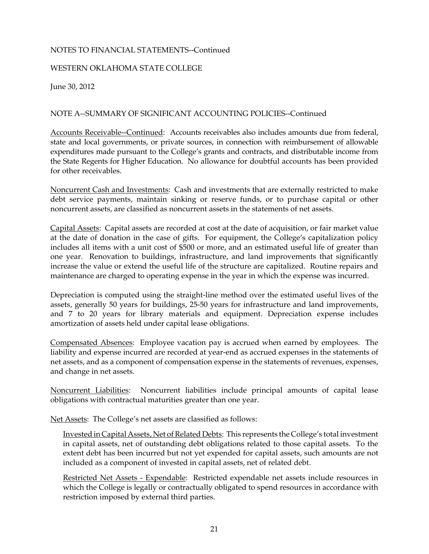## WESTERN OKLAHOMA STATE COLLEGE

June 30, 2012

## NOTE A--SUMMARY OF SIGNIFICANT ACCOUNTING POLICIES--Continued

Accounts Receivable--Continued: Accounts receivables also includes amounts due from federal, state and local governments, or private sources, in connection with reimbursement of allowable expenditures made pursuant to the College's grants and contracts, and distributable income from the State Regents for Higher Education. No allowance for doubtful accounts has been provided for other receivables.

Noncurrent Cash and Investments: Cash and investments that are externally restricted to make debt service payments, maintain sinking or reserve funds, or to purchase capital or other noncurrent assets, are classified as noncurrent assets in the statements of net assets.

Capital Assets: Capital assets are recorded at cost at the date of acquisition, or fair market value at the date of donation in the case of gifts. For equipment, the College's capitalization policy includes all items with a unit cost of \$500 or more, and an estimated useful life of greater than one year. Renovation to buildings, infrastructure, and land improvements that significantly increase the value or extend the useful life of the structure are capitalized. Routine repairs and maintenance are charged to operating expense in the year in which the expense was incurred.

Depreciation is computed using the straight-line method over the estimated useful lives of the assets, generally 50 years for buildings, 25-50 years for infrastructure and land improvements, and 7 to 20 years for library materials and equipment. Depreciation expense includes amortization of assets held under capital lease obligations.

Compensated Absences: Employee vacation pay is accrued when earned by employees. The liability and expense incurred are recorded at year-end as accrued expenses in the statements of net assets, and as a component of compensation expense in the statements of revenues, expenses, and change in net assets.

Noncurrent Liabilities: Noncurrent liabilities include principal amounts of capital lease obligations with contractual maturities greater than one year.

Net Assets: The College's net assets are classified as follows:

Invested in Capital Assets, Net of Related Debts: This represents the College's total investment in capital assets, net of outstanding debt obligations related to those capital assets. To the extent debt has been incurred but not yet expended for capital assets, such amounts are not included as a component of invested in capital assets, net of related debt.

Restricted Net Assets - Expendable: Restricted expendable net assets include resources in which the College is legally or contractually obligated to spend resources in accordance with restriction imposed by external third parties.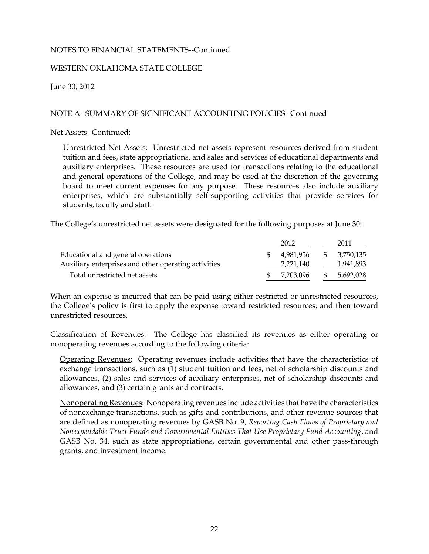#### WESTERN OKLAHOMA STATE COLLEGE

June 30, 2012

## NOTE A--SUMMARY OF SIGNIFICANT ACCOUNTING POLICIES--Continued

#### Net Assets--Continued:

Unrestricted Net Assets: Unrestricted net assets represent resources derived from student tuition and fees, state appropriations, and sales and services of educational departments and auxiliary enterprises. These resources are used for transactions relating to the educational and general operations of the College, and may be used at the discretion of the governing board to meet current expenses for any purpose. These resources also include auxiliary enterprises, which are substantially self-supporting activities that provide services for students, faculty and staff.

The College's unrestricted net assets were designated for the following purposes at June 30:

|                                                      | 2012      |     | 2011      |
|------------------------------------------------------|-----------|-----|-----------|
| Educational and general operations                   | 4.981.956 | \$. | 3,750,135 |
| Auxiliary enterprises and other operating activities | 2,221,140 |     | 1,941,893 |
| Total unrestricted net assets                        | 7,203,096 |     | 5,692,028 |

When an expense is incurred that can be paid using either restricted or unrestricted resources, the College's policy is first to apply the expense toward restricted resources, and then toward unrestricted resources.

Classification of Revenues: The College has classified its revenues as either operating or nonoperating revenues according to the following criteria:

Operating Revenues: Operating revenues include activities that have the characteristics of exchange transactions, such as (1) student tuition and fees, net of scholarship discounts and allowances, (2) sales and services of auxiliary enterprises, net of scholarship discounts and allowances, and (3) certain grants and contracts.

NonoperatingRevenues: Nonoperating revenues include activities that have the characteristics of nonexchange transactions, such as gifts and contributions, and other revenue sources that are defined as nonoperating revenues by GASB No. 9, *Reporting Cash Flows of Proprietary and Nonexpendable Trust Funds and Governmental Entities That Use Proprietary Fund Accounting*, and GASB No. 34, such as state appropriations, certain governmental and other pass-through grants, and investment income.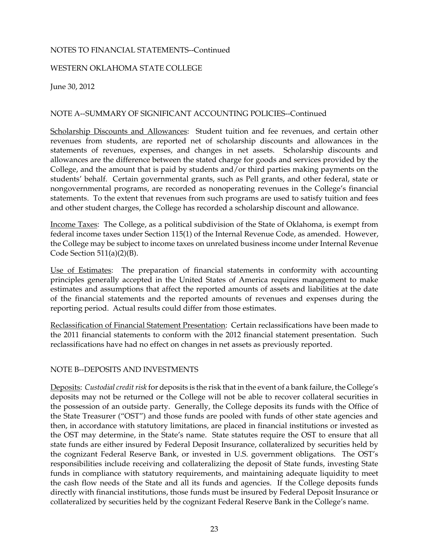### WESTERN OKLAHOMA STATE COLLEGE

June 30, 2012

## NOTE A--SUMMARY OF SIGNIFICANT ACCOUNTING POLICIES--Continued

Scholarship Discounts and Allowances: Student tuition and fee revenues, and certain other revenues from students, are reported net of scholarship discounts and allowances in the statements of revenues, expenses, and changes in net assets. Scholarship discounts and allowances are the difference between the stated charge for goods and services provided by the College, and the amount that is paid by students and/or third parties making payments on the students' behalf. Certain governmental grants, such as Pell grants, and other federal, state or nongovernmental programs, are recorded as nonoperating revenues in the College's financial statements. To the extent that revenues from such programs are used to satisfy tuition and fees and other student charges, the College has recorded a scholarship discount and allowance.

Income Taxes: The College, as a political subdivision of the State of Oklahoma, is exempt from federal income taxes under Section 115(1) of the Internal Revenue Code, as amended. However, the College may be subject to income taxes on unrelated business income under Internal Revenue Code Section 511(a)(2)(B).

Use of Estimates: The preparation of financial statements in conformity with accounting principles generally accepted in the United States of America requires management to make estimates and assumptions that affect the reported amounts of assets and liabilities at the date of the financial statements and the reported amounts of revenues and expenses during the reporting period. Actual results could differ from those estimates.

Reclassification of Financial Statement Presentation: Certain reclassifications have been made to the 2011 financial statements to conform with the 2012 financial statement presentation. Such reclassifications have had no effect on changes in net assets as previously reported.

## NOTE B--DEPOSITS AND INVESTMENTS

Deposits: *Custodial credit risk* for deposits is the risk that in the event of a bank failure, the College's deposits may not be returned or the College will not be able to recover collateral securities in the possession of an outside party. Generally, the College deposits its funds with the Office of the State Treasurer ("OST") and those funds are pooled with funds of other state agencies and then, in accordance with statutory limitations, are placed in financial institutions or invested as the OST may determine, in the State's name. State statutes require the OST to ensure that all state funds are either insured by Federal Deposit Insurance, collateralized by securities held by the cognizant Federal Reserve Bank, or invested in U.S. government obligations. The OST's responsibilities include receiving and collateralizing the deposit of State funds, investing State funds in compliance with statutory requirements, and maintaining adequate liquidity to meet the cash flow needs of the State and all its funds and agencies. If the College deposits funds directly with financial institutions, those funds must be insured by Federal Deposit Insurance or collateralized by securities held by the cognizant Federal Reserve Bank in the College's name.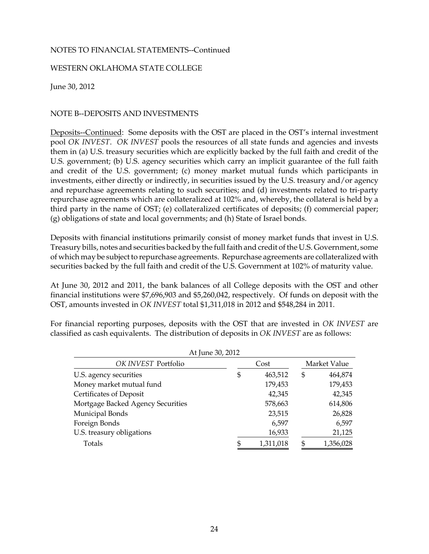#### WESTERN OKLAHOMA STATE COLLEGE

June 30, 2012

## NOTE B--DEPOSITS AND INVESTMENTS

Deposits--Continued: Some deposits with the OST are placed in the OST's internal investment pool *OK INVEST*. *OK INVEST* pools the resources of all state funds and agencies and invests them in (a) U.S. treasury securities which are explicitly backed by the full faith and credit of the U.S. government; (b) U.S. agency securities which carry an implicit guarantee of the full faith and credit of the U.S. government; (c) money market mutual funds which participants in investments, either directly or indirectly, in securities issued by the U.S. treasury and/or agency and repurchase agreements relating to such securities; and (d) investments related to tri-party repurchase agreements which are collateralized at 102% and, whereby, the collateral is held by a third party in the name of OST; (e) collateralized certificates of deposits; (f) commercial paper; (g) obligations of state and local governments; and (h) State of Israel bonds.

Deposits with financial institutions primarily consist of money market funds that invest in U.S. Treasury bills, notes and securities backed by the full faith and credit of the U.S. Government, some of which may be subject to repurchase agreements. Repurchase agreements are collateralized with securities backed by the full faith and credit of the U.S. Government at 102% of maturity value.

At June 30, 2012 and 2011, the bank balances of all College deposits with the OST and other financial institutions were \$7,696,903 and \$5,260,042, respectively. Of funds on deposit with the OST, amounts invested in *OK INVEST* total \$1,311,018 in 2012 and \$548,284 in 2011.

For financial reporting purposes, deposits with the OST that are invested in *OK INVEST* are classified as cash equivalents. The distribution of deposits in *OK INVEST* are as follows:

| At June 30, 2012                  |      |           |    |              |  |  |
|-----------------------------------|------|-----------|----|--------------|--|--|
| OK INVEST Portfolio               | Cost |           |    | Market Value |  |  |
| U.S. agency securities            | \$   | 463,512   | \$ | 464,874      |  |  |
| Money market mutual fund          |      | 179,453   |    | 179,453      |  |  |
| Certificates of Deposit           |      | 42,345    |    | 42,345       |  |  |
| Mortgage Backed Agency Securities |      | 578,663   |    | 614,806      |  |  |
| Municipal Bonds                   |      | 23,515    |    | 26,828       |  |  |
| Foreign Bonds                     |      | 6,597     |    | 6,597        |  |  |
| U.S. treasury obligations         |      | 16,933    |    | 21,125       |  |  |
| Totals                            | ፍ    | 1,311,018 |    | 1,356,028    |  |  |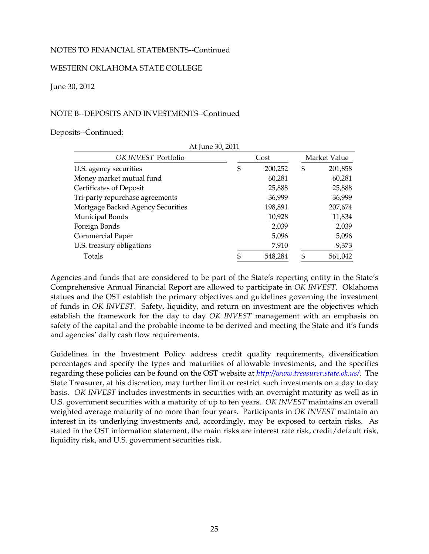#### WESTERN OKLAHOMA STATE COLLEGE

June 30, 2012

## NOTE B--DEPOSITS AND INVESTMENTS--Continued

#### Deposits--Continued:

| At June 30, 2011                  |    |         |              |         |  |
|-----------------------------------|----|---------|--------------|---------|--|
| OK INVEST Portfolio               |    | Cost    | Market Value |         |  |
| U.S. agency securities            | \$ | 200,252 | \$           | 201,858 |  |
| Money market mutual fund          |    | 60,281  |              | 60,281  |  |
| Certificates of Deposit           |    | 25,888  |              | 25,888  |  |
| Tri-party repurchase agreements   |    | 36,999  |              | 36,999  |  |
| Mortgage Backed Agency Securities |    | 198,891 |              | 207,674 |  |
| Municipal Bonds                   |    | 10,928  |              | 11,834  |  |
| Foreign Bonds                     |    | 2,039   |              | 2,039   |  |
| Commercial Paper                  |    | 5,096   |              | 5,096   |  |
| U.S. treasury obligations         |    | 7,910   |              | 9,373   |  |
| Totals                            | \$ | 548,284 |              | 561,042 |  |

Agencies and funds that are considered to be part of the State's reporting entity in the State's Comprehensive Annual Financial Report are allowed to participate in *OK INVEST*. Oklahoma statues and the OST establish the primary objectives and guidelines governing the investment of funds in *OK INVEST*. Safety, liquidity, and return on investment are the objectives which establish the framework for the day to day *OK INVEST* management with an emphasis on safety of the capital and the probable income to be derived and meeting the State and it's funds and agencies' daily cash flow requirements.

Guidelines in the Investment Policy address credit quality requirements, diversification percentages and specify the types and maturities of allowable investments, and the specifics regarding these policies can be found on the OST website at *http://www.treasurer.state.ok.us/*. The State Treasurer, at his discretion, may further limit or restrict such investments on a day to day basis. *OK INVEST* includes investments in securities with an overnight maturity as well as in U.S. government securities with a maturity of up to ten years. *OK INVEST* maintains an overall weighted average maturity of no more than four years. Participants in *OK INVEST* maintain an interest in its underlying investments and, accordingly, may be exposed to certain risks. As stated in the OST information statement, the main risks are interest rate risk, credit/default risk, liquidity risk, and U.S. government securities risk.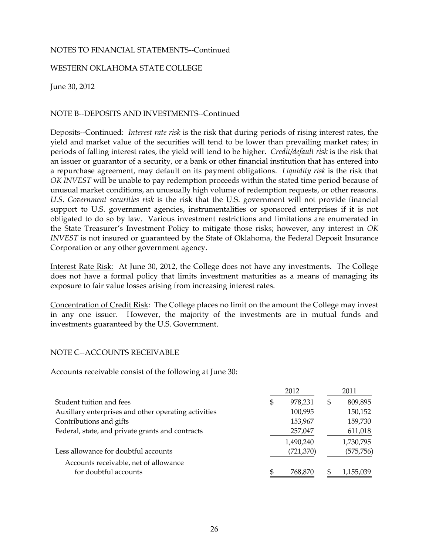#### WESTERN OKLAHOMA STATE COLLEGE

June 30, 2012

## NOTE B--DEPOSITS AND INVESTMENTS--Continued

Deposits--Continued: *Interest rate risk* is the risk that during periods of rising interest rates, the yield and market value of the securities will tend to be lower than prevailing market rates; in periods of falling interest rates, the yield will tend to be higher. *Credit/default risk* is the risk that an issuer or guarantor of a security, or a bank or other financial institution that has entered into a repurchase agreement, may default on its payment obligations. *Liquidity risk* is the risk that *OK INVEST* will be unable to pay redemption proceeds within the stated time period because of unusual market conditions, an unusually high volume of redemption requests, or other reasons. *U.S. Government securities risk* is the risk that the U.S. government will not provide financial support to U.S. government agencies, instrumentalities or sponsored enterprises if it is not obligated to do so by law. Various investment restrictions and limitations are enumerated in the State Treasurer's Investment Policy to mitigate those risks; however, any interest in *OK INVEST* is not insured or guaranteed by the State of Oklahoma, the Federal Deposit Insurance Corporation or any other government agency.

Interest Rate Risk*:* At June 30, 2012, the College does not have any investments. The College does not have a formal policy that limits investment maturities as a means of managing its exposure to fair value losses arising from increasing interest rates.

Concentration of Credit Risk: The College places no limit on the amount the College may invest in any one issuer. However, the majority of the investments are in mutual funds and investments guaranteed by the U.S. Government.

## NOTE C--ACCOUNTS RECEIVABLE

Accounts receivable consist of the following at June 30:

|                                                      | 2012 |            |    | 2011      |  |  |
|------------------------------------------------------|------|------------|----|-----------|--|--|
| Student tuition and fees                             | \$   | 978,231    | \$ | 809,895   |  |  |
| Auxillary enterprises and other operating activities |      | 100,995    |    | 150,152   |  |  |
| Contributions and gifts                              |      | 153,967    |    | 159,730   |  |  |
| Federal, state, and private grants and contracts     |      | 257,047    |    | 611,018   |  |  |
|                                                      |      | 1,490,240  |    | 1,730,795 |  |  |
| Less allowance for doubtful accounts                 |      | (721, 370) |    | (575,756) |  |  |
| Accounts receivable, net of allowance                |      |            |    |           |  |  |
| for doubtful accounts                                |      | 768,870    | \$ | 1,155,039 |  |  |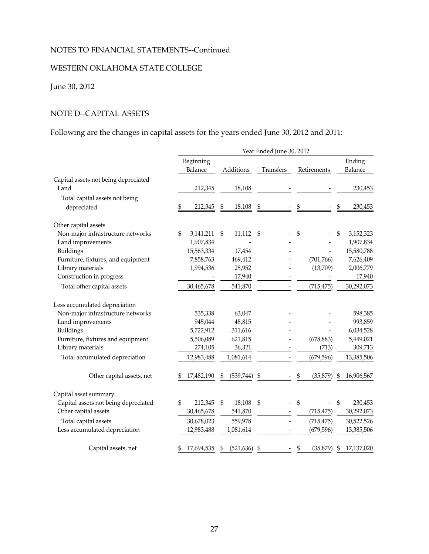# WESTERN OKLAHOMA STATE COLLEGE

## June 30, 2012

# NOTE D--CAPITAL ASSETS

# Following are the changes in capital assets for the years ended June 30, 2012 and 2011:

|                                              |                      |                  |               | Year Ended June 30, 2012 |                 |                   |
|----------------------------------------------|----------------------|------------------|---------------|--------------------------|-----------------|-------------------|
|                                              | Beginning<br>Balance | Additions        |               | Transfers                | Retirements     | Ending<br>Balance |
| Capital assets not being depreciated<br>Land | 212,345              | 18,108           |               |                          |                 | 230,453           |
| Total capital assets not being               |                      |                  |               |                          |                 |                   |
| depreciated                                  | \$<br>212,345        | \$<br>18,108     | \$            |                          | \$              | \$<br>230,453     |
| Other capital assets                         |                      |                  |               |                          |                 |                   |
| Non-major infrastructure networks            | \$<br>3,141,211      | \$<br>11,112     | $\frac{1}{2}$ |                          | \$              | \$<br>3,152,323   |
| Land improvements                            | 1,907,834            |                  |               |                          |                 | 1,907,834         |
| <b>Buildings</b>                             | 15,563,334           | 17,454           |               |                          |                 | 15,580,788        |
| Furniture, fixtures, and equipment           | 7,858,763            | 469,412          |               |                          | (701, 766)      | 7,626,409         |
| Library materials                            | 1,994,536            | 25,952           |               |                          | (13,709)        | 2,006,779         |
| Construction in progress                     |                      | 17,940           |               |                          |                 | 17,940            |
| Total other capital assets                   | 30,465,678           | 541,870          |               |                          | (715, 475)      | 30,292,073        |
| Less accumulated depreciation                |                      |                  |               |                          |                 |                   |
| Non-major infrastructure networks            | 535,338              | 63,047           |               |                          |                 | 598,385           |
| Land improvements                            | 945,044              | 48,815           |               |                          |                 | 993,859           |
| Buildings                                    | 5,722,912            | 311,616          |               |                          |                 | 6,034,528         |
| Furniture, fixtures and equipment            | 5,506,089            | 621,815          |               |                          | (678, 883)      | 5,449,021         |
| Library materials                            | 274,105              | 36,321           |               |                          | (713)           | 309,713           |
| Total accumulated depreciation               | 12,983,488           | 1,081,614        |               |                          | (679, 596)      | 13,385,506        |
| Other capital assets, net                    | 17,482,190           | \$<br>(539, 744) | \$            |                          | \$<br>(35, 879) | 16,906,567        |
| Capital asset summary                        |                      |                  |               |                          |                 |                   |
| Capital assets not being depreciated         | \$<br>212,345        | \$<br>18,108     | \$            |                          | \$              | \$<br>230,453     |
| Other capital assets                         | 30,465,678           | 541,870          |               |                          | (715, 475)      | 30,292,073        |
| Total capital assets                         | 30,678,023           | 559,978          |               |                          | (715, 475)      | 30,522,526        |
| Less accumulated depreciation                | 12,983,488           | 1,081,614        |               |                          | (679, 596)      | 13,385,506        |
| Capital assets, net                          | \$<br>17,694,535     | \$<br>(521, 636) | \$            |                          | \$<br>(35, 879) | \$<br>17,137,020  |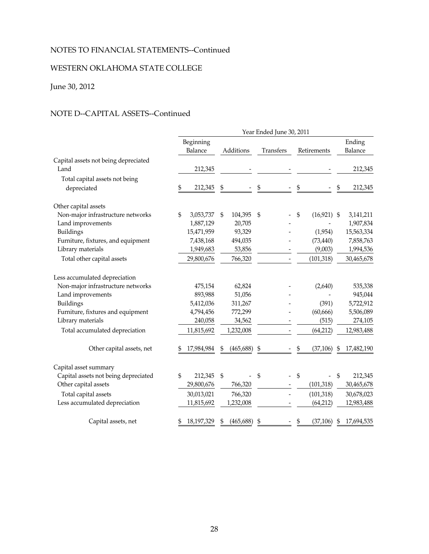# WESTERN OKLAHOMA STATE COLLEGE

## June 30, 2012

# NOTE D--CAPITAL ASSETS--Continued

|                                      | Year Ended June 30, 2011 |                      |    |                |               |           |    |               |    |                   |
|--------------------------------------|--------------------------|----------------------|----|----------------|---------------|-----------|----|---------------|----|-------------------|
|                                      |                          | Beginning<br>Balance |    | Additions      |               | Transfers |    | Retirements   |    | Ending<br>Balance |
| Capital assets not being depreciated |                          |                      |    |                |               |           |    |               |    |                   |
| Land                                 |                          | 212,345              |    |                |               |           |    |               |    | 212,345           |
| Total capital assets not being       |                          |                      |    |                |               |           |    |               |    |                   |
| depreciated                          | \$                       | 212,345              | \$ |                | \$            |           | \$ |               | \$ | 212,345           |
| Other capital assets                 |                          |                      |    |                |               |           |    |               |    |                   |
| Non-major infrastructure networks    | \$                       | 3,053,737            | \$ | 104,395        | $\frac{6}{5}$ |           | \$ | $(16,921)$ \$ |    | 3,141,211         |
| Land improvements                    |                          | 1,887,129            |    | 20,705         |               |           |    |               |    | 1,907,834         |
| Buildings                            |                          | 15,471,959           |    | 93,329         |               |           |    | (1,954)       |    | 15,563,334        |
| Furniture, fixtures, and equipment   |                          | 7,438,168            |    | 494,035        |               |           |    | (73, 440)     |    | 7,858,763         |
| Library materials                    |                          | 1,949,683            |    | 53,856         |               |           |    | (9,003)       |    | 1,994,536         |
| Total other capital assets           |                          | 29,800,676           |    | 766,320        |               |           |    | (101, 318)    |    | 30,465,678        |
| Less accumulated depreciation        |                          |                      |    |                |               |           |    |               |    |                   |
| Non-major infrastructure networks    |                          | 475,154              |    | 62,824         |               |           |    | (2,640)       |    | 535,338           |
| Land improvements                    |                          | 893,988              |    | 51,056         |               |           |    |               |    | 945,044           |
| Buildings                            |                          | 5,412,036            |    | 311,267        |               |           |    | (391)         |    | 5,722,912         |
| Furniture, fixtures and equipment    |                          | 4,794,456            |    | 772,299        |               |           |    | (60, 666)     |    | 5,506,089         |
| Library materials                    |                          | 240,058              |    | 34,562         |               |           |    | (515)         |    | 274,105           |
| Total accumulated depreciation       |                          | 11,815,692           |    | 1,232,008      |               |           |    | (64,212)      |    | 12,983,488        |
| Other capital assets, net            |                          | 17,984,984           | \$ | (465, 688)     | \$            |           | \$ | (37, 106)     | \$ | 17,482,190        |
| Capital asset summary                |                          |                      |    |                |               |           |    |               |    |                   |
| Capital assets not being depreciated | \$                       | 212,345              | \$ |                | \$            |           | \$ |               | \$ | 212,345           |
| Other capital assets                 |                          | 29,800,676           |    | 766,320        |               |           |    | (101, 318)    |    | 30,465,678        |
| Total capital assets                 |                          | 30,013,021           |    | 766,320        |               |           |    | (101, 318)    |    | 30,678,023        |
| Less accumulated depreciation        |                          | 11,815,692           |    | 1,232,008      |               |           |    | (64, 212)     |    | 12,983,488        |
| Capital assets, net                  | \$                       | 18,197,329           | \$ | $(465,688)$ \$ |               |           | \$ | (37, 106)     | \$ | 17,694,535        |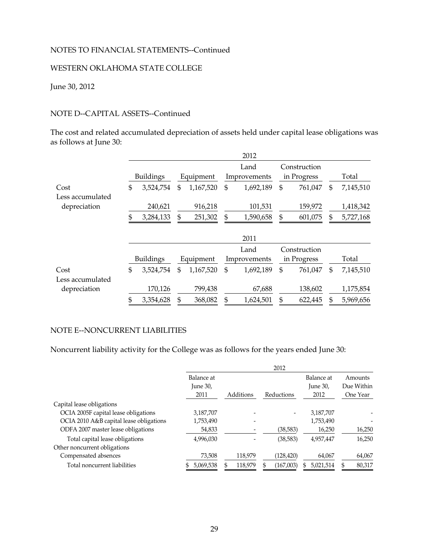#### WESTERN OKLAHOMA STATE COLLEGE

June 30, 2012

## NOTE D--CAPITAL ASSETS--Continued

The cost and related accumulated depreciation of assets held under capital lease obligations was as follows at June 30:

|                  |                  |                 | 2012            |               |    |           |
|------------------|------------------|-----------------|-----------------|---------------|----|-----------|
|                  |                  |                 | Land            | Construction  |    |           |
|                  | <b>Buildings</b> | Equipment       | Improvements    | in Progress   |    | Total     |
| Cost             | \$<br>3,524,754  | \$<br>1,167,520 | \$<br>1,692,189 | \$<br>761,047 | \$ | 7,145,510 |
| Less accumulated |                  |                 |                 |               |    |           |
| depreciation     | 240,621          | 916,218         | 101,531         | 159,972       |    | 1,418,342 |
|                  | \$<br>3,284,133  | \$<br>251,302   | \$<br>1,590,658 | \$<br>601,075 | S  | 5,727,168 |
|                  |                  |                 |                 |               |    |           |
|                  |                  |                 | 2011            |               |    |           |
|                  |                  |                 | Land            | Construction  |    |           |
|                  | <b>Buildings</b> | Equipment       | Improvements    | in Progress   |    | Total     |
| Cost             | \$<br>3,524,754  | \$<br>1,167,520 | \$<br>1,692,189 | \$<br>761,047 | \$ | 7,145,510 |
| Less accumulated |                  |                 |                 |               |    |           |
| depreciation     | 170,126          | 799,438         | 67,688          | 138,602       |    | 1,175,854 |
|                  | \$<br>3,354,628  | \$<br>368,082   | \$<br>1,624,501 | \$<br>622,445 |    | 5,969,656 |

## NOTE E--NONCURRENT LIABILITIES

Noncurrent liability activity for the College was as follows for the years ended June 30:

|                                         |            |           | 2012                     |            |            |
|-----------------------------------------|------------|-----------|--------------------------|------------|------------|
|                                         | Balance at |           |                          | Balance at | Amounts    |
|                                         | June 30,   |           |                          | June 30,   | Due Within |
|                                         | 2011       | Additions | Reductions               | 2012       | One Year   |
| Capital lease obligations               |            |           |                          |            |            |
| OCIA 2005F capital lease obligations    | 3,187,707  |           | $\overline{\phantom{0}}$ | 3,187,707  |            |
| OCIA 2010 A&B capital lease obligations | 1,753,490  |           |                          | 1,753,490  |            |
| ODFA 2007 master lease obligations      | 54,833     |           | (38, 583)                | 16,250     | 16,250     |
| Total capital lease obligations         | 4,996,030  |           | (38, 583)                | 4,957,447  | 16.250     |
| Other noncurrent obligations            |            |           |                          |            |            |
| Compensated absences                    | 73,508     | 118,979   | (128, 420)               | 64,067     | 64,067     |
| Total noncurrent liabilities            | 5,069,538  | 118,979   | (167,003)                | 5,021,514  | 80,317     |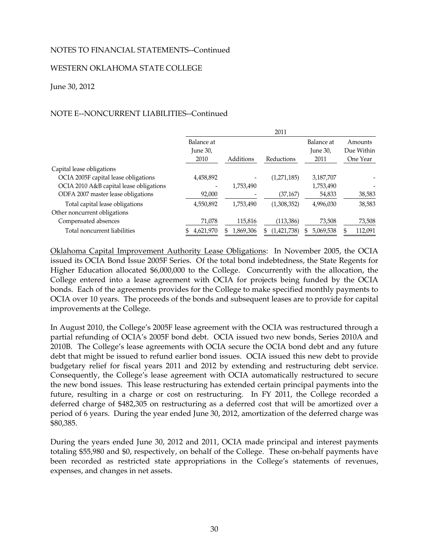#### WESTERN OKLAHOMA STATE COLLEGE

#### June 30, 2012

#### NOTE E--NONCURRENT LIABILITIES--Continued

|                                         |            |           | 2011        |                |            |
|-----------------------------------------|------------|-----------|-------------|----------------|------------|
|                                         | Balance at |           |             | Balance at     | Amounts    |
|                                         | June 30,   |           |             | June 30,       | Due Within |
|                                         | 2010       | Additions | Reductions  | 2011           | One Year   |
| Capital lease obligations               |            |           |             |                |            |
| OCIA 2005F capital lease obligations    | 4,458,892  |           | (1,271,185) | 3,187,707      |            |
| OCIA 2010 A&B capital lease obligations |            | 1,753,490 |             | 1,753,490      |            |
| ODFA 2007 master lease obligations      | 92,000     |           | (37, 167)   | 54,833         | 38,583     |
| Total capital lease obligations         | 4.550.892  | 1.753.490 | (1,308,352) | 4,996,030      | 38,583     |
| Other noncurrent obligations            |            |           |             |                |            |
| Compensated absences                    | 71,078     | 115,816   | (113, 386)  | 73,508         | 73,508     |
| Total noncurrent liabilities            | 4,621,970  | 1,869,306 | (1,421,738) | 5,069,538<br>S | 112,091    |

Oklahoma Capital Improvement Authority Lease Obligations: In November 2005, the OCIA issued its OCIA Bond Issue 2005F Series. Of the total bond indebtedness, the State Regents for Higher Education allocated \$6,000,000 to the College. Concurrently with the allocation, the College entered into a lease agreement with OCIA for projects being funded by the OCIA bonds. Each of the agreements provides for the College to make specified monthly payments to OCIA over 10 years. The proceeds of the bonds and subsequent leases are to provide for capital improvements at the College.

In August 2010, the College's 2005F lease agreement with the OCIA was restructured through a partial refunding of OCIA's 2005F bond debt. OCIA issued two new bonds, Series 2010A and 2010B. The College's lease agreements with OCIA secure the OCIA bond debt and any future debt that might be issued to refund earlier bond issues. OCIA issued this new debt to provide budgetary relief for fiscal years 2011 and 2012 by extending and restructuring debt service. Consequently, the College's lease agreement with OCIA automatically restructured to secure the new bond issues. This lease restructuring has extended certain principal payments into the future, resulting in a charge or cost on restructuring. In FY 2011, the College recorded a deferred charge of \$482,305 on restructuring as a deferred cost that will be amortized over a period of 6 years. During the year ended June 30, 2012, amortization of the deferred charge was \$80,385.

During the years ended June 30, 2012 and 2011, OCIA made principal and interest payments totaling \$55,980 and \$0, respectively, on behalf of the College. These on-behalf payments have been recorded as restricted state appropriations in the College's statements of revenues, expenses, and changes in net assets.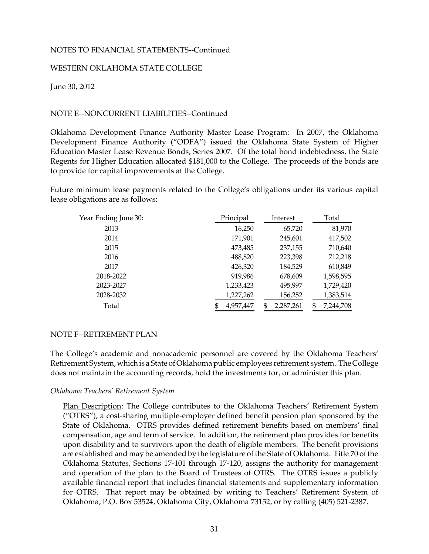#### WESTERN OKLAHOMA STATE COLLEGE

June 30, 2012

## NOTE E--NONCURRENT LIABILITIES--Continued

Oklahoma Development Finance Authority Master Lease Program: In 2007, the Oklahoma Development Finance Authority ("ODFA") issued the Oklahoma State System of Higher Education Master Lease Revenue Bonds, Series 2007. Of the total bond indebtedness, the State Regents for Higher Education allocated \$181,000 to the College. The proceeds of the bonds are to provide for capital improvements at the College.

Future minimum lease payments related to the College's obligations under its various capital lease obligations are as follows:

| Year Ending June 30: | Principal<br>Interest |                |           |  |
|----------------------|-----------------------|----------------|-----------|--|
| 2013                 | 16,250                | 65,720         | 81,970    |  |
| 2014                 | 171,901               | 245,601        | 417,502   |  |
| 2015                 | 473,485               | 237,155        | 710,640   |  |
| 2016                 | 488,820               | 223,398        | 712,218   |  |
| 2017                 | 426,320               | 184,529        | 610,849   |  |
| 2018-2022            | 919,986               | 678,609        | 1,598,595 |  |
| 2023-2027            | 1,233,423             | 495,997        | 1,729,420 |  |
| 2028-2032            | 1,227,262             | 156,252        | 1,383,514 |  |
| Total                | 4,957,447             | 2,287,261<br>ፍ | 7,244,708 |  |

## NOTE F--RETIREMENT PLAN

The College's academic and nonacademic personnel are covered by the Oklahoma Teachers' Retirement System, which is a State of Oklahoma public employees retirement system. The College does not maintain the accounting records, hold the investments for, or administer this plan.

## *Oklahoma Teachers' Retirement System*

Plan Description: The College contributes to the Oklahoma Teachers' Retirement System ("OTRS"), a cost-sharing multiple-employer defined benefit pension plan sponsored by the State of Oklahoma. OTRS provides defined retirement benefits based on members' final compensation, age and term of service. In addition, the retirement plan provides for benefits upon disability and to survivors upon the death of eligible members. The benefit provisions are established and may be amended by the legislature of the State of Oklahoma. Title 70 of the Oklahoma Statutes, Sections 17-101 through 17-120, assigns the authority for management and operation of the plan to the Board of Trustees of OTRS. The OTRS issues a publicly available financial report that includes financial statements and supplementary information for OTRS. That report may be obtained by writing to Teachers' Retirement System of Oklahoma, P.O. Box 53524, Oklahoma City, Oklahoma 73152, or by calling (405) 521-2387.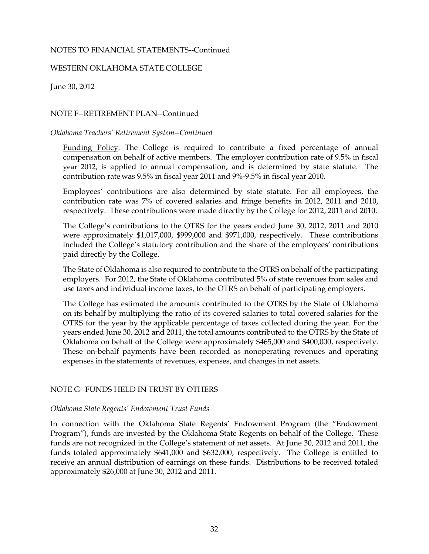#### WESTERN OKLAHOMA STATE COLLEGE

June 30, 2012

#### NOTE F--RETIREMENT PLAN--Continued

#### *Oklahoma Teachers' Retirement System--Continued*

Funding Policy: The College is required to contribute a fixed percentage of annual compensation on behalf of active members. The employer contribution rate of 9.5% in fiscal year 2012, is applied to annual compensation, and is determined by state statute. The contribution rate was 9.5% in fiscal year 2011 and 9%-9.5% in fiscal year 2010.

Employees' contributions are also determined by state statute. For all employees, the contribution rate was 7% of covered salaries and fringe benefits in 2012, 2011 and 2010, respectively. These contributions were made directly by the College for 2012, 2011 and 2010.

The College's contributions to the OTRS for the years ended June 30, 2012, 2011 and 2010 were approximately \$1,017,000, \$999,000 and \$971,000, respectively. These contributions included the College's statutory contribution and the share of the employees' contributions paid directly by the College.

The State of Oklahoma is also required to contribute to the OTRS on behalf of the participating employers. For 2012, the State of Oklahoma contributed 5% of state revenues from sales and use taxes and individual income taxes, to the OTRS on behalf of participating employers.

The College has estimated the amounts contributed to the OTRS by the State of Oklahoma on its behalf by multiplying the ratio of its covered salaries to total covered salaries for the OTRS for the year by the applicable percentage of taxes collected during the year. For the years ended June 30, 2012 and 2011, the total amounts contributed to the OTRS by the State of Oklahoma on behalf of the College were approximately \$465,000 and \$400,000, respectively. These on-behalf payments have been recorded as nonoperating revenues and operating expenses in the statements of revenues, expenses, and changes in net assets.

#### NOTE G--FUNDS HELD IN TRUST BY OTHERS

#### *Oklahoma State Regents' Endowment Trust Funds*

In connection with the Oklahoma State Regents' Endowment Program (the "Endowment Program"), funds are invested by the Oklahoma State Regents on behalf of the College. These funds are not recognized in the College's statement of net assets. At June 30, 2012 and 2011, the funds totaled approximately \$641,000 and \$632,000, respectively. The College is entitled to receive an annual distribution of earnings on these funds. Distributions to be received totaled approximately \$26,000 at June 30, 2012 and 2011.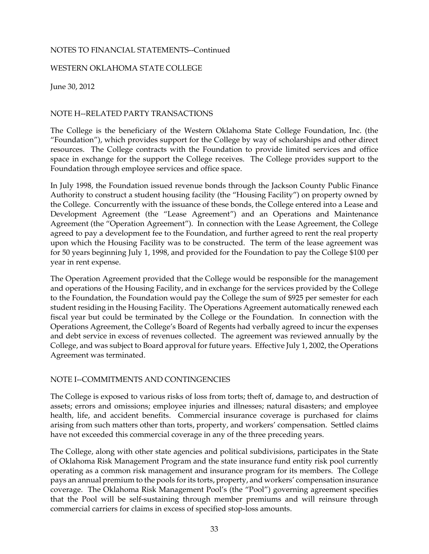#### WESTERN OKLAHOMA STATE COLLEGE

June 30, 2012

## NOTE H--RELATED PARTY TRANSACTIONS

The College is the beneficiary of the Western Oklahoma State College Foundation, Inc. (the "Foundation"), which provides support for the College by way of scholarships and other direct resources. The College contracts with the Foundation to provide limited services and office space in exchange for the support the College receives. The College provides support to the Foundation through employee services and office space.

In July 1998, the Foundation issued revenue bonds through the Jackson County Public Finance Authority to construct a student housing facility (the "Housing Facility") on property owned by the College. Concurrently with the issuance of these bonds, the College entered into a Lease and Development Agreement (the "Lease Agreement") and an Operations and Maintenance Agreement (the "Operation Agreement"). In connection with the Lease Agreement, the College agreed to pay a development fee to the Foundation, and further agreed to rent the real property upon which the Housing Facility was to be constructed. The term of the lease agreement was for 50 years beginning July 1, 1998, and provided for the Foundation to pay the College \$100 per year in rent expense.

The Operation Agreement provided that the College would be responsible for the management and operations of the Housing Facility, and in exchange for the services provided by the College to the Foundation, the Foundation would pay the College the sum of \$925 per semester for each student residing in the Housing Facility. The Operations Agreement automatically renewed each fiscal year but could be terminated by the College or the Foundation. In connection with the Operations Agreement, the College's Board of Regents had verbally agreed to incur the expenses and debt service in excess of revenues collected. The agreement was reviewed annually by the College, and was subject to Board approval for future years. Effective July 1, 2002, the Operations Agreement was terminated.

## NOTE I--COMMITMENTS AND CONTINGENCIES

The College is exposed to various risks of loss from torts; theft of, damage to, and destruction of assets; errors and omissions; employee injuries and illnesses; natural disasters; and employee health, life, and accident benefits. Commercial insurance coverage is purchased for claims arising from such matters other than torts, property, and workers' compensation. Settled claims have not exceeded this commercial coverage in any of the three preceding years.

The College, along with other state agencies and political subdivisions, participates in the State of Oklahoma Risk Management Program and the state insurance fund entity risk pool currently operating as a common risk management and insurance program for its members. The College pays an annual premium to the pools for its torts, property, and workers' compensation insurance coverage. The Oklahoma Risk Management Pool's (the "Pool") governing agreement specifies that the Pool will be self-sustaining through member premiums and will reinsure through commercial carriers for claims in excess of specified stop-loss amounts.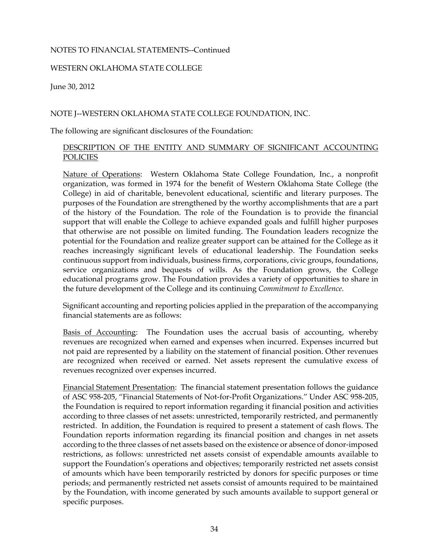#### WESTERN OKLAHOMA STATE COLLEGE

June 30, 2012

## NOTE J--WESTERN OKLAHOMA STATE COLLEGE FOUNDATION, INC.

The following are significant disclosures of the Foundation:

## DESCRIPTION OF THE ENTITY AND SUMMARY OF SIGNIFICANT ACCOUNTING POLICIES

Nature of Operations: Western Oklahoma State College Foundation, Inc., a nonprofit organization, was formed in 1974 for the benefit of Western Oklahoma State College (the College) in aid of charitable, benevolent educational, scientific and literary purposes. The purposes of the Foundation are strengthened by the worthy accomplishments that are a part of the history of the Foundation. The role of the Foundation is to provide the financial support that will enable the College to achieve expanded goals and fulfill higher purposes that otherwise are not possible on limited funding. The Foundation leaders recognize the potential for the Foundation and realize greater support can be attained for the College as it reaches increasingly significant levels of educational leadership. The Foundation seeks continuous support from individuals, business firms, corporations, civic groups, foundations, service organizations and bequests of wills. As the Foundation grows, the College educational programs grow. The Foundation provides a variety of opportunities to share in the future development of the College and its continuing *Commitment to Excellence*.

Significant accounting and reporting policies applied in the preparation of the accompanying financial statements are as follows:

Basis of Accounting: The Foundation uses the accrual basis of accounting, whereby revenues are recognized when earned and expenses when incurred. Expenses incurred but not paid are represented by a liability on the statement of financial position. Other revenues are recognized when received or earned. Net assets represent the cumulative excess of revenues recognized over expenses incurred.

Financial Statement Presentation: The financial statement presentation follows the guidance of ASC 958-205, "Financial Statements of Not-for-Profit Organizations." Under ASC 958-205, the Foundation is required to report information regarding it financial position and activities according to three classes of net assets: unrestricted, temporarily restricted, and permanently restricted. In addition, the Foundation is required to present a statement of cash flows. The Foundation reports information regarding its financial position and changes in net assets according to the three classes of net assets based on the existence or absence of donor-imposed restrictions, as follows: unrestricted net assets consist of expendable amounts available to support the Foundation's operations and objectives; temporarily restricted net assets consist of amounts which have been temporarily restricted by donors for specific purposes or time periods; and permanently restricted net assets consist of amounts required to be maintained by the Foundation, with income generated by such amounts available to support general or specific purposes.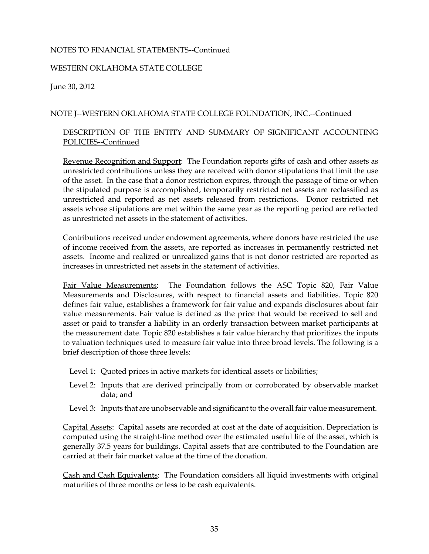#### WESTERN OKLAHOMA STATE COLLEGE

June 30, 2012

## NOTE J--WESTERN OKLAHOMA STATE COLLEGE FOUNDATION, INC.--Continued

## DESCRIPTION OF THE ENTITY AND SUMMARY OF SIGNIFICANT ACCOUNTING POLICIES--Continued

Revenue Recognition and Support: The Foundation reports gifts of cash and other assets as unrestricted contributions unless they are received with donor stipulations that limit the use of the asset. In the case that a donor restriction expires, through the passage of time or when the stipulated purpose is accomplished, temporarily restricted net assets are reclassified as unrestricted and reported as net assets released from restrictions. Donor restricted net assets whose stipulations are met within the same year as the reporting period are reflected as unrestricted net assets in the statement of activities.

Contributions received under endowment agreements, where donors have restricted the use of income received from the assets, are reported as increases in permanently restricted net assets. Income and realized or unrealized gains that is not donor restricted are reported as increases in unrestricted net assets in the statement of activities.

Fair Value Measurements: The Foundation follows the ASC Topic 820, Fair Value Measurements and Disclosures, with respect to financial assets and liabilities. Topic 820 defines fair value, establishes a framework for fair value and expands disclosures about fair value measurements. Fair value is defined as the price that would be received to sell and asset or paid to transfer a liability in an orderly transaction between market participants at the measurement date. Topic 820 establishes a fair value hierarchy that prioritizes the inputs to valuation techniques used to measure fair value into three broad levels. The following is a brief description of those three levels:

- Level 1: Quoted prices in active markets for identical assets or liabilities;
- Level 2: Inputs that are derived principally from or corroborated by observable market data; and
- Level 3: Inputs that are unobservable and significant to the overall fair value measurement.

Capital Assets: Capital assets are recorded at cost at the date of acquisition. Depreciation is computed using the straight-line method over the estimated useful life of the asset, which is generally 37.5 years for buildings. Capital assets that are contributed to the Foundation are carried at their fair market value at the time of the donation.

Cash and Cash Equivalents: The Foundation considers all liquid investments with original maturities of three months or less to be cash equivalents.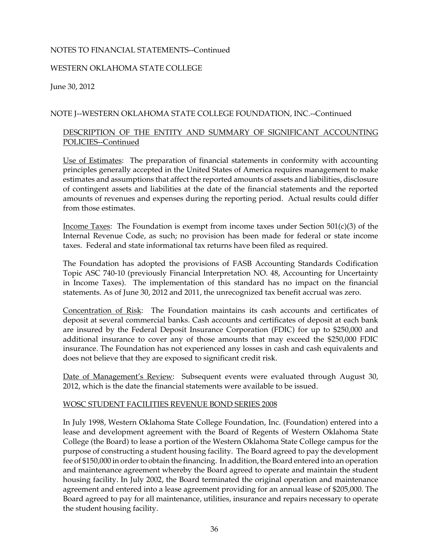## WESTERN OKLAHOMA STATE COLLEGE

June 30, 2012

## NOTE J--WESTERN OKLAHOMA STATE COLLEGE FOUNDATION, INC.--Continued

## DESCRIPTION OF THE ENTITY AND SUMMARY OF SIGNIFICANT ACCOUNTING POLICIES--Continued

Use of Estimates: The preparation of financial statements in conformity with accounting principles generally accepted in the United States of America requires management to make estimates and assumptions that affect the reported amounts of assets and liabilities, disclosure of contingent assets and liabilities at the date of the financial statements and the reported amounts of revenues and expenses during the reporting period. Actual results could differ from those estimates.

Income Taxes: The Foundation is exempt from income taxes under Section  $501(c)(3)$  of the Internal Revenue Code, as such; no provision has been made for federal or state income taxes. Federal and state informational tax returns have been filed as required.

The Foundation has adopted the provisions of FASB Accounting Standards Codification Topic ASC 740-10 (previously Financial Interpretation NO. 48, Accounting for Uncertainty in Income Taxes). The implementation of this standard has no impact on the financial statements. As of June 30, 2012 and 2011, the unrecognized tax benefit accrual was zero.

Concentration of Risk: The Foundation maintains its cash accounts and certificates of deposit at several commercial banks. Cash accounts and certificates of deposit at each bank are insured by the Federal Deposit Insurance Corporation (FDIC) for up to \$250,000 and additional insurance to cover any of those amounts that may exceed the \$250,000 FDIC insurance. The Foundation has not experienced any losses in cash and cash equivalents and does not believe that they are exposed to significant credit risk.

Date of Management's Review: Subsequent events were evaluated through August 30, 2012, which is the date the financial statements were available to be issued.

## WOSC STUDENT FACILITIES REVENUE BOND SERIES 2008

In July 1998, Western Oklahoma State College Foundation, Inc. (Foundation) entered into a lease and development agreement with the Board of Regents of Western Oklahoma State College (the Board) to lease a portion of the Western Oklahoma State College campus for the purpose of constructing a student housing facility. The Board agreed to pay the development fee of  $$150,000$  in order to obtain the financing. In addition, the Board entered into an operation and maintenance agreement whereby the Board agreed to operate and maintain the student housing facility. In July 2002, the Board terminated the original operation and maintenance agreement and entered into a lease agreement providing for an annual lease of \$205,000. The Board agreed to pay for all maintenance, utilities, insurance and repairs necessary to operate the student housing facility.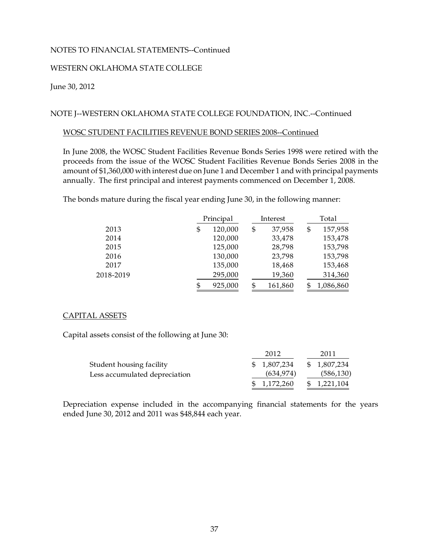#### WESTERN OKLAHOMA STATE COLLEGE

#### June 30, 2012

## NOTE J--WESTERN OKLAHOMA STATE COLLEGE FOUNDATION, INC.--Continued

#### WOSC STUDENT FACILITIES REVENUE BOND SERIES 2008--Continued

In June 2008, the WOSC Student Facilities Revenue Bonds Series 1998 were retired with the proceeds from the issue of the WOSC Student Facilities Revenue Bonds Series 2008 in the amount of \$1,360,000 with interest due on June 1 and December 1 and with principal payments annually. The first principal and interest payments commenced on December 1, 2008.

The bonds mature during the fiscal year ending June 30, in the following manner:

|           | Principal     |    | Interest | Total         |
|-----------|---------------|----|----------|---------------|
| 2013      | \$<br>120,000 | \$ | 37,958   | \$<br>157,958 |
| 2014      | 120,000       |    | 33,478   | 153,478       |
| 2015      | 125,000       |    | 28,798   | 153,798       |
| 2016      | 130,000       |    | 23,798   | 153,798       |
| 2017      | 135,000       |    | 18,468   | 153,468       |
| 2018-2019 | 295,000       |    | 19,360   | 314,360       |
|           | \$<br>925,000 | \$ | 161,860  | 1,086,860     |

#### CAPITAL ASSETS

Capital assets consist of the following at June 30:

|                               | 2012         | 2011         |
|-------------------------------|--------------|--------------|
| Student housing facility      | \$ 1,807,234 | \$ 1,807,234 |
| Less accumulated depreciation | (634, 974)   | (586, 130)   |
|                               | \$1,172,260  | \$1,221,104  |

Depreciation expense included in the accompanying financial statements for the years ended June 30, 2012 and 2011 was \$48,844 each year.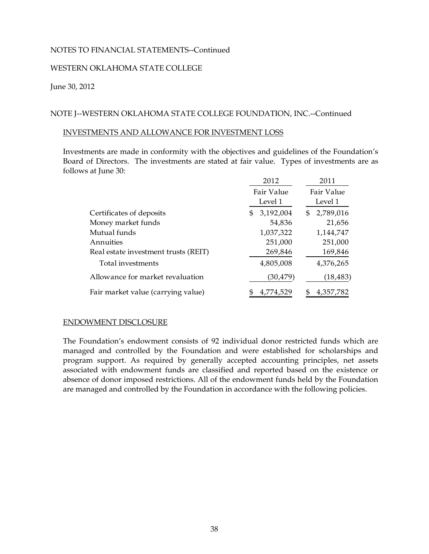#### WESTERN OKLAHOMA STATE COLLEGE

#### June 30, 2012

## NOTE J--WESTERN OKLAHOMA STATE COLLEGE FOUNDATION, INC.--Continued

#### INVESTMENTS AND ALLOWANCE FOR INVESTMENT LOSS

Investments are made in conformity with the objectives and guidelines of the Foundation's Board of Directors. The investments are stated at fair value. Types of investments are as follows at June 30:

|                                      | 2012<br>Fair Value<br>Level 1 |           |   | 2011       |
|--------------------------------------|-------------------------------|-----------|---|------------|
|                                      |                               |           |   | Fair Value |
|                                      |                               |           |   | Level 1    |
| Certificates of deposits             | S                             | 3,192,004 | S | 2,789,016  |
| Money market funds                   |                               | 54,836    |   | 21,656     |
| Mutual funds                         |                               | 1,037,322 |   | 1,144,747  |
| Annuities                            |                               | 251,000   |   | 251,000    |
| Real estate investment trusts (REIT) |                               | 269,846   |   | 169,846    |
| Total investments                    |                               | 4,805,008 |   | 4,376,265  |
| Allowance for market revaluation     |                               | (30, 479) |   | (18, 483)  |
| Fair market value (carrying value)   |                               | 4,774,529 |   | 4,357,782  |

#### ENDOWMENT DISCLOSURE

The Foundation's endowment consists of 92 individual donor restricted funds which are managed and controlled by the Foundation and were established for scholarships and program support. As required by generally accepted accounting principles, net assets associated with endowment funds are classified and reported based on the existence or absence of donor imposed restrictions. All of the endowment funds held by the Foundation are managed and controlled by the Foundation in accordance with the following policies.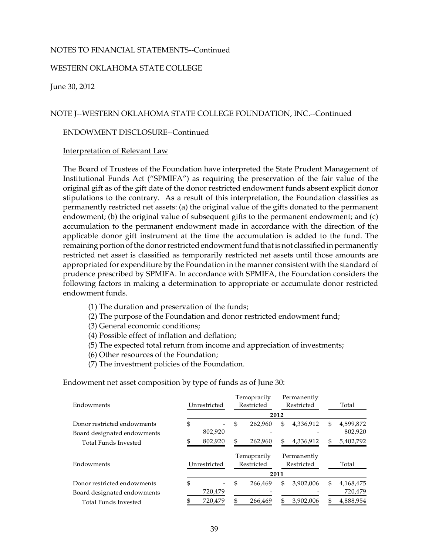#### WESTERN OKLAHOMA STATE COLLEGE

June 30, 2012

#### NOTE J--WESTERN OKLAHOMA STATE COLLEGE FOUNDATION, INC.--Continued

#### ENDOWMENT DISCLOSURE--Continued

#### Interpretation of Relevant Law

The Board of Trustees of the Foundation have interpreted the State Prudent Management of Institutional Funds Act ("SPMIFA") as requiring the preservation of the fair value of the original gift as of the gift date of the donor restricted endowment funds absent explicit donor stipulations to the contrary. As a result of this interpretation, the Foundation classifies as permanently restricted net assets: (a) the original value of the gifts donated to the permanent endowment; (b) the original value of subsequent gifts to the permanent endowment; and (c) accumulation to the permanent endowment made in accordance with the direction of the applicable donor gift instrument at the time the accumulation is added to the fund. The remaining portion of the donor restricted endowment fund that is not classified in permanently restricted net asset is classified as temporarily restricted net assets until those amounts are appropriated for expenditure by the Foundation in the manner consistent with the standard of prudence prescribed by SPMIFA. In accordance with SPMIFA, the Foundation considers the following factors in making a determination to appropriate or accumulate donor restricted endowment funds.

- (1) The duration and preservation of the funds;
- (2) The purpose of the Foundation and donor restricted endowment fund;
- (3) General economic conditions;
- (4) Possible effect of inflation and deflation;
- (5) The expected total return from income and appreciation of investments;
- (6) Other resources of the Foundation;
- (7) The investment policies of the Foundation.

Endowment net asset composition by type of funds as of June 30:

| Endowments                  | Unrestricted | Temoprarily<br>Restricted |      | Permanently<br>Restricted |    | Total     |
|-----------------------------|--------------|---------------------------|------|---------------------------|----|-----------|
|                             |              |                           | 2012 |                           |    |           |
| Donor restricted endowments | \$           | \$<br>262,960             | \$   | 4,336,912                 | \$ | 4,599,872 |
| Board designated endowments | 802,920      |                           |      |                           |    | 802,920   |
| Total Funds Invested        | 802,920      | 262,960                   | S    | 4,336,912                 |    | 5,402,792 |
|                             |              | Temoprarily               |      | Permanently               |    |           |
| Endowments                  | Unrestricted | Restricted                |      | Restricted                |    | Total     |
|                             |              |                           | 2011 |                           |    |           |
| Donor restricted endowments | \$           | \$<br>266.469             | \$   | 3.902.006                 | S  | 4,168,475 |
| Board designated endowments | 720,479      |                           |      |                           |    | 720,479   |
| Total Funds Invested        | 720,479      | 266,469                   |      | 3,902,006                 |    | 4,888,954 |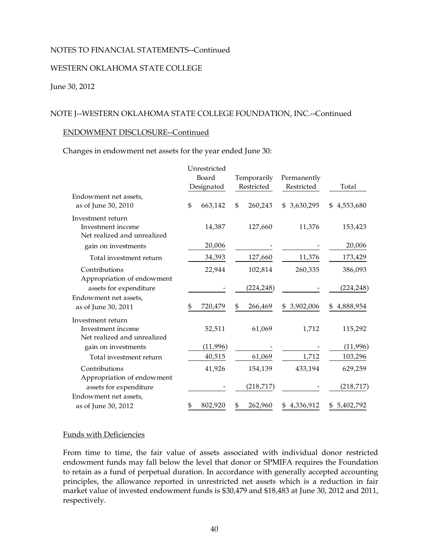#### WESTERN OKLAHOMA STATE COLLEGE

#### June 30, 2012

## NOTE J--WESTERN OKLAHOMA STATE COLLEGE FOUNDATION, INC.--Continued

#### ENDOWMENT DISCLOSURE--Continued

Changes in endowment net assets for the year ended June 30:

|                                                                       | Unrestricted  |            |             |              |                  |
|-----------------------------------------------------------------------|---------------|------------|-------------|--------------|------------------|
|                                                                       | Board         |            | Temporarily | Permanently  |                  |
|                                                                       | Designated    | Restricted |             | Restricted   | Total            |
| Endowment net assets,<br>as of June 30, 2010                          | \$<br>663,142 | \$         | 260,243     | \$3,630,295  | 4,553,680<br>\$. |
| Investment return<br>Investment income<br>Net realized and unrealized | 14,387        |            | 127,660     | 11,376       | 153,423          |
| gain on investments                                                   | 20,006        |            |             |              | 20,006           |
| Total investment return                                               | 34,393        |            | 127,660     | 11,376       | 173,429          |
| Contributions<br>Appropriation of endowment                           | 22,944        |            | 102,814     | 260,335      | 386,093          |
| assets for expenditure                                                |               |            | (224,248)   |              | (224, 248)       |
| Endowment net assets,                                                 |               |            |             |              |                  |
| as of June 30, 2011                                                   | 720,479       | S          | 266,469     | \$ 3,902,006 | 4,888,954        |
| Investment return<br>Investment income<br>Net realized and unrealized | 52,511        |            | 61,069      | 1,712        | 115,292          |
| gain on investments                                                   | (11,996)      |            |             |              | (11,996)         |
| Total investment return                                               | 40,515        |            | 61,069      | 1,712        | 103,296          |
| Contributions<br>Appropriation of endowment                           | 41,926        |            | 154,139     | 433,194      | 629,259          |
| assets for expenditure                                                |               |            | (218, 717)  |              | (218, 717)       |
| Endowment net assets,                                                 |               |            |             |              |                  |
| as of June 30, 2012                                                   | \$<br>802,920 | \$         | 262,960     | \$4,336,912  | \$5,402,792      |

#### Funds with Deficiencies

From time to time, the fair value of assets associated with individual donor restricted endowment funds may fall below the level that donor or SPMIFA requires the Foundation to retain as a fund of perpetual duration. In accordance with generally accepted accounting principles, the allowance reported in unrestricted net assets which is a reduction in fair market value of invested endowment funds is \$30,479 and \$18,483 at June 30, 2012 and 2011, respectively.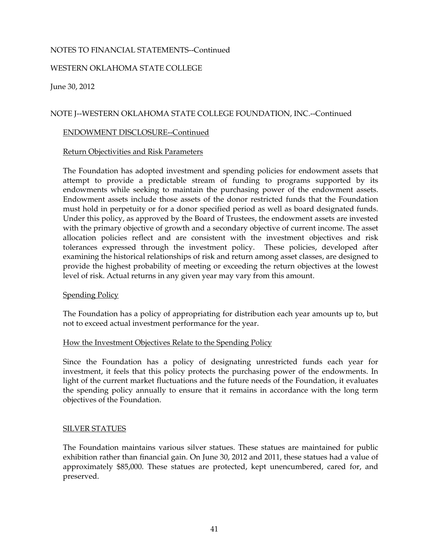#### WESTERN OKLAHOMA STATE COLLEGE

June 30, 2012

## NOTE J--WESTERN OKLAHOMA STATE COLLEGE FOUNDATION, INC.--Continued

#### ENDOWMENT DISCLOSURE--Continued

#### Return Objectivities and Risk Parameters

The Foundation has adopted investment and spending policies for endowment assets that attempt to provide a predictable stream of funding to programs supported by its endowments while seeking to maintain the purchasing power of the endowment assets. Endowment assets include those assets of the donor restricted funds that the Foundation must hold in perpetuity or for a donor specified period as well as board designated funds. Under this policy, as approved by the Board of Trustees, the endowment assets are invested with the primary objective of growth and a secondary objective of current income. The asset allocation policies reflect and are consistent with the investment objectives and risk tolerances expressed through the investment policy. These policies, developed after examining the historical relationships of risk and return among asset classes, are designed to provide the highest probability of meeting or exceeding the return objectives at the lowest level of risk. Actual returns in any given year may vary from this amount.

#### **Spending Policy**

The Foundation has a policy of appropriating for distribution each year amounts up to, but not to exceed actual investment performance for the year.

#### How the Investment Objectives Relate to the Spending Policy

Since the Foundation has a policy of designating unrestricted funds each year for investment, it feels that this policy protects the purchasing power of the endowments. In light of the current market fluctuations and the future needs of the Foundation, it evaluates the spending policy annually to ensure that it remains in accordance with the long term objectives of the Foundation.

## SILVER STATUES

The Foundation maintains various silver statues. These statues are maintained for public exhibition rather than financial gain. On June 30, 2012 and 2011, these statues had a value of approximately \$85,000. These statues are protected, kept unencumbered, cared for, and preserved.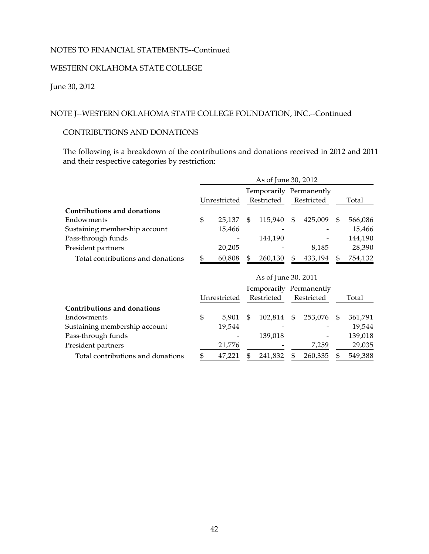## WESTERN OKLAHOMA STATE COLLEGE

#### June 30, 2012

## NOTE J--WESTERN OKLAHOMA STATE COLLEGE FOUNDATION, INC.--Continued

## CONTRIBUTIONS AND DONATIONS

The following is a breakdown of the contributions and donations received in 2012 and 2011 and their respective categories by restriction:

|                                   | As of June 30, 2012     |              |    |                     |    |            |    |         |
|-----------------------------------|-------------------------|--------------|----|---------------------|----|------------|----|---------|
|                                   | Temporarily Permanently |              |    |                     |    |            |    |         |
|                                   |                         | Unrestricted |    | Restricted          |    | Restricted |    | Total   |
| Contributions and donations       |                         |              |    |                     |    |            |    |         |
| Endowments                        | \$                      | 25,137       | \$ | 115,940             | \$ | 425,009    | \$ | 566,086 |
| Sustaining membership account     |                         | 15,466       |    |                     |    |            |    | 15,466  |
| Pass-through funds                |                         |              |    | 144,190             |    |            |    | 144,190 |
| President partners                |                         | 20,205       |    |                     |    | 8,185      |    | 28,390  |
| Total contributions and donations |                         | 60,808       | \$ | 260,130             | \$ | 433,194    | \$ | 754,132 |
|                                   |                         |              |    | As of June 30, 2011 |    |            |    |         |
|                                   | Temporarily Permanently |              |    |                     |    |            |    |         |
|                                   |                         | Unrestricted |    | Restricted          |    | Restricted |    | Total   |
| Contributions and donations       |                         |              |    |                     |    |            |    |         |
| Endowments                        | \$                      | 5,901        | \$ | 102,814             | \$ | 253,076    | \$ | 361,791 |
| Sustaining membership account     |                         | 19,544       |    |                     |    |            |    | 19,544  |
| Pass-through funds                |                         |              |    | 139,018             |    |            |    | 139,018 |
| President partners                |                         | 21,776       |    |                     |    | 7,259      |    | 29,035  |
| Total contributions and donations |                         |              |    |                     |    |            |    | 549,388 |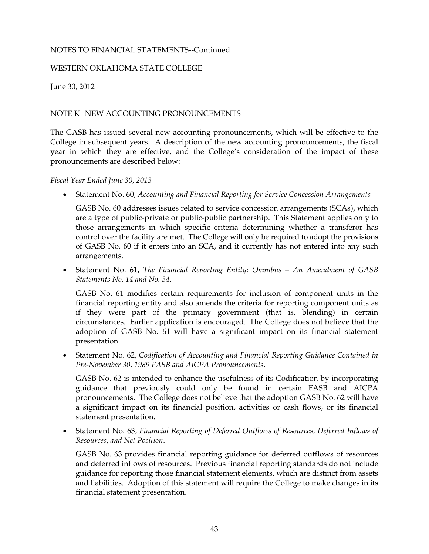#### WESTERN OKLAHOMA STATE COLLEGE

June 30, 2012

#### NOTE K--NEW ACCOUNTING PRONOUNCEMENTS

The GASB has issued several new accounting pronouncements, which will be effective to the College in subsequent years. A description of the new accounting pronouncements, the fiscal year in which they are effective, and the College's consideration of the impact of these pronouncements are described below:

*Fiscal Year Ended June 30, 2013*

Statement No. 60, *Accounting and Financial Reporting for Service Concession Arrangements* –

GASB No. 60 addresses issues related to service concession arrangements (SCAs), which are a type of public-private or public-public partnership. This Statement applies only to those arrangements in which specific criteria determining whether a transferor has control over the facility are met. The College will only be required to adopt the provisions of GASB No. 60 if it enters into an SCA, and it currently has not entered into any such arrangements.

 Statement No. 61, *The Financial Reporting Entity: Omnibus – An Amendment of GASB Statements No. 14 and No. 34*.

GASB No. 61 modifies certain requirements for inclusion of component units in the financial reporting entity and also amends the criteria for reporting component units as if they were part of the primary government (that is, blending) in certain circumstances. Earlier application is encouraged. The College does not believe that the adoption of GASB No. 61 will have a significant impact on its financial statement presentation.

 Statement No. 62, *Codification of Accounting and Financial Reporting Guidance Contained in Pre-November 30, 1989 FASB and AICPA Pronouncements*.

GASB No. 62 is intended to enhance the usefulness of its Codification by incorporating guidance that previously could only be found in certain FASB and AICPA pronouncements. The College does not believe that the adoption GASB No. 62 will have a significant impact on its financial position, activities or cash flows, or its financial statement presentation.

 Statement No. 63, *Financial Reporting of Deferred Outflows of Resources, Deferred Inflows of Resources, and Net Position*.

GASB No. 63 provides financial reporting guidance for deferred outflows of resources and deferred inflows of resources. Previous financial reporting standards do not include guidance for reporting those financial statement elements, which are distinct from assets and liabilities. Adoption of this statement will require the College to make changes in its financial statement presentation.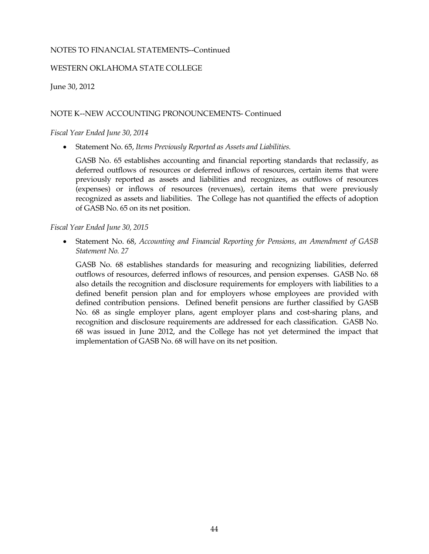#### WESTERN OKLAHOMA STATE COLLEGE

June 30, 2012

## NOTE K--NEW ACCOUNTING PRONOUNCEMENTS- Continued

#### *Fiscal Year Ended June 30, 2014*

Statement No. 65, *Items Previously Reported as Assets and Liabilities.*

GASB No. 65 establishes accounting and financial reporting standards that reclassify, as deferred outflows of resources or deferred inflows of resources, certain items that were previously reported as assets and liabilities and recognizes, as outflows of resources (expenses) or inflows of resources (revenues), certain items that were previously recognized as assets and liabilities. The College has not quantified the effects of adoption of GASB No. 65 on its net position.

#### *Fiscal Year Ended June 30, 2015*

 Statement No. 68, *Accounting and Financial Reporting for Pensions, an Amendment of GASB Statement No. 27* 

GASB No. 68 establishes standards for measuring and recognizing liabilities, deferred outflows of resources, deferred inflows of resources, and pension expenses. GASB No. 68 also details the recognition and disclosure requirements for employers with liabilities to a defined benefit pension plan and for employers whose employees are provided with defined contribution pensions. Defined benefit pensions are further classified by GASB No. 68 as single employer plans, agent employer plans and cost-sharing plans, and recognition and disclosure requirements are addressed for each classification. GASB No. 68 was issued in June 2012, and the College has not yet determined the impact that implementation of GASB No. 68 will have on its net position.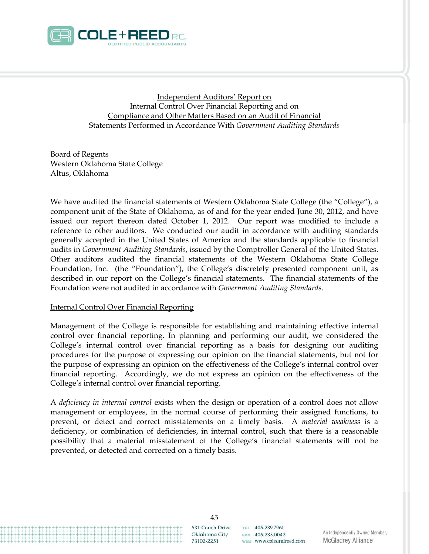

Independent Auditors' Report on Internal Control Over Financial Reporting and on Compliance and Other Matters Based on an Audit of Financial Statements Performed in Accordance With *Government Auditing Standards* 

Board of Regents Western Oklahoma State College Altus, Oklahoma

We have audited the financial statements of Western Oklahoma State College (the "College"), a component unit of the State of Oklahoma, as of and for the year ended June 30, 2012, and have issued our report thereon dated October 1, 2012. Our report was modified to include a reference to other auditors. We conducted our audit in accordance with auditing standards generally accepted in the United States of America and the standards applicable to financial audits in *Government Auditing Standards*, issued by the Comptroller General of the United States. Other auditors audited the financial statements of the Western Oklahoma State College Foundation, Inc. (the "Foundation"), the College's discretely presented component unit, as described in our report on the College's financial statements. The financial statements of the Foundation were not audited in accordance with *Government Auditing Standards*.

#### Internal Control Over Financial Reporting

Management of the College is responsible for establishing and maintaining effective internal control over financial reporting. In planning and performing our audit, we considered the College's internal control over financial reporting as a basis for designing our auditing procedures for the purpose of expressing our opinion on the financial statements, but not for the purpose of expressing an opinion on the effectiveness of the College's internal control over financial reporting. Accordingly, we do not express an opinion on the effectiveness of the College's internal control over financial reporting.

A *deficiency in internal control* exists when the design or operation of a control does not allow management or employees, in the normal course of performing their assigned functions, to prevent, or detect and correct misstatements on a timely basis. A *material weakness* is a deficiency, or combination of deficiencies, in internal control, such that there is a reasonable possibility that a material misstatement of the College's financial statements will not be prevented, or detected and corrected on a timely basis.

> 531 Couch Drive Oklahoma City 73102-2251

45

TEL 405.239.7961 FAX 405 235 0042 WEB www.coleandreed.com

An Independently Owned Member, **McGladrey Alliance**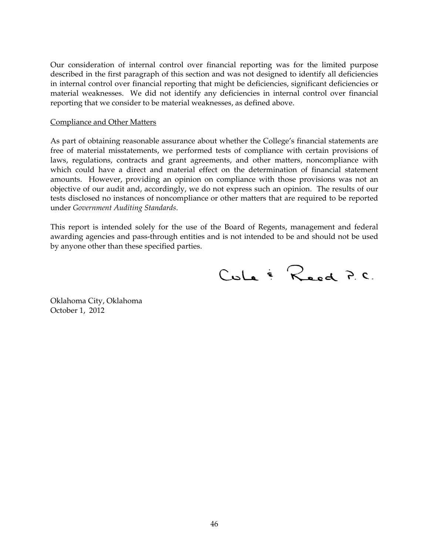Our consideration of internal control over financial reporting was for the limited purpose described in the first paragraph of this section and was not designed to identify all deficiencies in internal control over financial reporting that might be deficiencies, significant deficiencies or material weaknesses. We did not identify any deficiencies in internal control over financial reporting that we consider to be material weaknesses, as defined above.

#### Compliance and Other Matters

As part of obtaining reasonable assurance about whether the College's financial statements are free of material misstatements, we performed tests of compliance with certain provisions of laws, regulations, contracts and grant agreements, and other matters, noncompliance with which could have a direct and material effect on the determination of financial statement amounts. However, providing an opinion on compliance with those provisions was not an objective of our audit and, accordingly, we do not express such an opinion. The results of our tests disclosed no instances of noncompliance or other matters that are required to be reported under *Government Auditing Standards*.

This report is intended solely for the use of the Board of Regents, management and federal awarding agencies and pass-through entities and is not intended to be and should not be used by anyone other than these specified parties.

CuLe  $R_{red}$  P.C.

Oklahoma City, Oklahoma October 1, 2012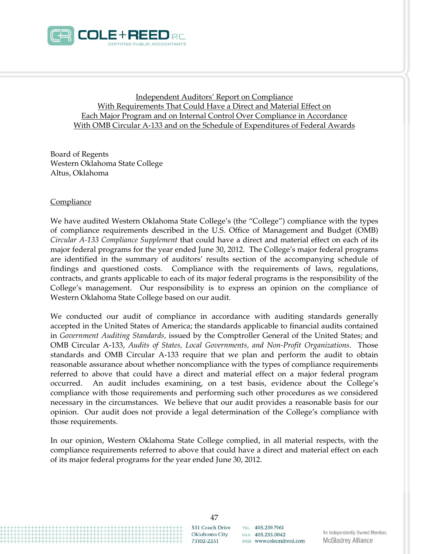

Independent Auditors' Report on Compliance With Requirements That Could Have a Direct and Material Effect on Each Major Program and on Internal Control Over Compliance in Accordance With OMB Circular A-133 and on the Schedule of Expenditures of Federal Awards

Board of Regents Western Oklahoma State College Altus, Oklahoma

#### **Compliance**

We have audited Western Oklahoma State College's (the "College") compliance with the types of compliance requirements described in the U.S. Office of Management and Budget (OMB) *Circular A-133 Compliance Supplement* that could have a direct and material effect on each of its major federal programs for the year ended June 30, 2012. The College's major federal programs are identified in the summary of auditors' results section of the accompanying schedule of findings and questioned costs. Compliance with the requirements of laws, regulations, contracts, and grants applicable to each of its major federal programs is the responsibility of the College's management. Our responsibility is to express an opinion on the compliance of Western Oklahoma State College based on our audit.

We conducted our audit of compliance in accordance with auditing standards generally accepted in the United States of America; the standards applicable to financial audits contained in *Government Auditing Standards,* issued by the Comptroller General of the United States; and OMB Circular A-133, *Audits of States, Local Governments, and Non-Profit Organizations*. Those standards and OMB Circular A-133 require that we plan and perform the audit to obtain reasonable assurance about whether noncompliance with the types of compliance requirements referred to above that could have a direct and material effect on a major federal program occurred. An audit includes examining, on a test basis, evidence about the College's compliance with those requirements and performing such other procedures as we considered necessary in the circumstances. We believe that our audit provides a reasonable basis for our opinion. Our audit does not provide a legal determination of the College's compliance with those requirements.

In our opinion, Western Oklahoma State College complied, in all material respects, with the compliance requirements referred to above that could have a direct and material effect on each of its major federal programs for the year ended June 30, 2012.

> 47 531 Couch Drive Oklahoma City 73102-2251

TEL 405.239.7961  $FAx$  405 235 0042 WEB www.coleandreed.com

An Independently Owned Member, **McGladrey Alliance**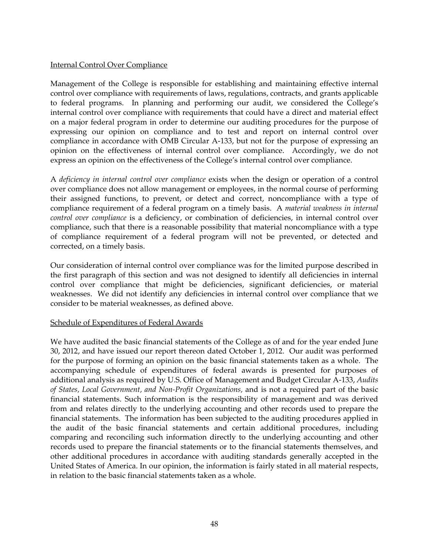#### Internal Control Over Compliance

Management of the College is responsible for establishing and maintaining effective internal control over compliance with requirements of laws, regulations, contracts, and grants applicable to federal programs. In planning and performing our audit, we considered the College's internal control over compliance with requirements that could have a direct and material effect on a major federal program in order to determine our auditing procedures for the purpose of expressing our opinion on compliance and to test and report on internal control over compliance in accordance with OMB Circular A-133, but not for the purpose of expressing an opinion on the effectiveness of internal control over compliance. Accordingly, we do not express an opinion on the effectiveness of the College's internal control over compliance.

A *deficiency in internal control over compliance* exists when the design or operation of a control over compliance does not allow management or employees, in the normal course of performing their assigned functions, to prevent, or detect and correct, noncompliance with a type of compliance requirement of a federal program on a timely basis. A *material weakness in internal control over compliance* is a deficiency, or combination of deficiencies, in internal control over compliance, such that there is a reasonable possibility that material noncompliance with a type of compliance requirement of a federal program will not be prevented, or detected and corrected, on a timely basis.

Our consideration of internal control over compliance was for the limited purpose described in the first paragraph of this section and was not designed to identify all deficiencies in internal control over compliance that might be deficiencies, significant deficiencies, or material weaknesses. We did not identify any deficiencies in internal control over compliance that we consider to be material weaknesses, as defined above.

#### Schedule of Expenditures of Federal Awards

We have audited the basic financial statements of the College as of and for the year ended June 30, 2012, and have issued our report thereon dated October 1, 2012. Our audit was performed for the purpose of forming an opinion on the basic financial statements taken as a whole. The accompanying schedule of expenditures of federal awards is presented for purposes of additional analysis as required by U.S. Office of Management and Budget Circular A-133, *Audits of States, Local Government, and Non-Profit Organizations,* and is not a required part of the basic financial statements. Such information is the responsibility of management and was derived from and relates directly to the underlying accounting and other records used to prepare the financial statements. The information has been subjected to the auditing procedures applied in the audit of the basic financial statements and certain additional procedures, including comparing and reconciling such information directly to the underlying accounting and other records used to prepare the financial statements or to the financial statements themselves, and other additional procedures in accordance with auditing standards generally accepted in the United States of America. In our opinion, the information is fairly stated in all material respects, in relation to the basic financial statements taken as a whole.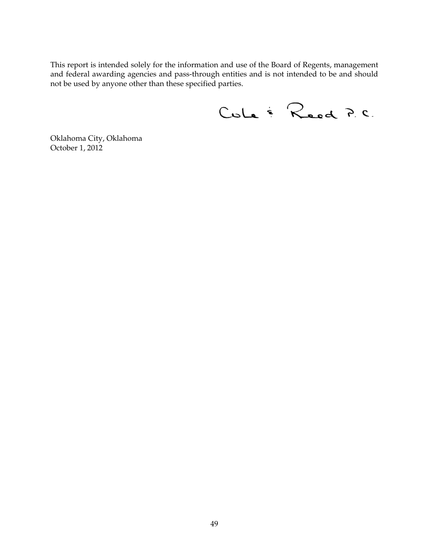This report is intended solely for the information and use of the Board of Regents, management and federal awarding agencies and pass-through entities and is not intended to be and should not be used by anyone other than these specified parties.

Cule & Reed P.C.

Oklahoma City, Oklahoma October 1, 2012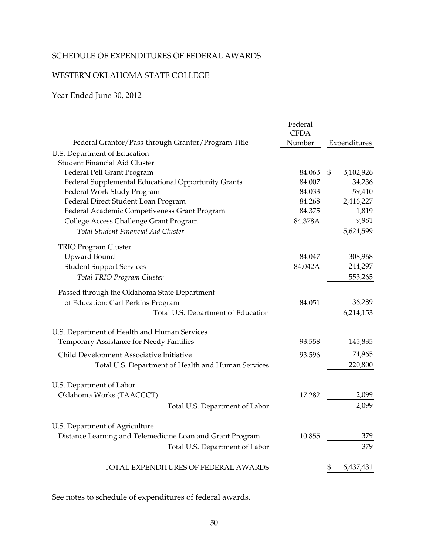# SCHEDULE OF EXPENDITURES OF FEDERAL AWARDS

# WESTERN OKLAHOMA STATE COLLEGE

Year Ended June 30, 2012

|                                                           | Federal<br><b>CFDA</b> |                 |
|-----------------------------------------------------------|------------------------|-----------------|
| Federal Grantor/Pass-through Grantor/Program Title        | Number                 | Expenditures    |
| U.S. Department of Education                              |                        |                 |
| Student Financial Aid Cluster                             |                        |                 |
| Federal Pell Grant Program                                | 84.063                 | 3,102,926<br>\$ |
| Federal Supplemental Educational Opportunity Grants       | 84.007                 | 34,236          |
| Federal Work Study Program                                | 84.033                 | 59,410          |
| Federal Direct Student Loan Program                       | 84.268                 | 2,416,227       |
| Federal Academic Competiveness Grant Program              | 84.375                 | 1,819           |
| College Access Challenge Grant Program                    | 84.378A                | 9,981           |
| Total Student Financial Aid Cluster                       |                        | 5,624,599       |
| <b>TRIO Program Cluster</b>                               |                        |                 |
| Upward Bound                                              | 84.047                 | 308,968         |
| <b>Student Support Services</b>                           | 84.042A                | 244,297         |
| Total TRIO Program Cluster                                |                        | 553,265         |
| Passed through the Oklahoma State Department              |                        |                 |
| of Education: Carl Perkins Program                        | 84.051                 | 36,289          |
| Total U.S. Department of Education                        |                        | 6,214,153       |
| U.S. Department of Health and Human Services              |                        |                 |
| Temporary Assistance for Needy Families                   | 93.558                 | 145,835         |
| Child Development Associative Initiative                  | 93.596                 | 74,965          |
| Total U.S. Department of Health and Human Services        |                        | 220,800         |
| U.S. Department of Labor                                  |                        |                 |
| Oklahoma Works (TAACCCT)                                  | 17.282                 | 2,099           |
| Total U.S. Department of Labor                            |                        | 2,099           |
|                                                           |                        |                 |
| U.S. Department of Agriculture                            |                        | 379             |
| Distance Learning and Telemedicine Loan and Grant Program | 10.855                 |                 |
| Total U.S. Department of Labor                            |                        | 379             |
| TOTAL EXPENDITURES OF FEDERAL AWARDS                      |                        | 6,437,431<br>\$ |

See notes to schedule of expenditures of federal awards.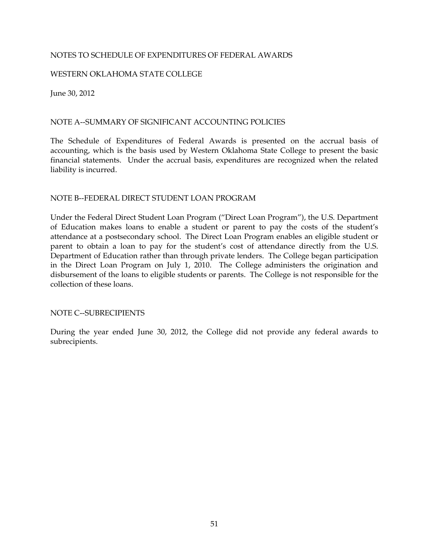#### NOTES TO SCHEDULE OF EXPENDITURES OF FEDERAL AWARDS

#### WESTERN OKLAHOMA STATE COLLEGE

June 30, 2012

#### NOTE A--SUMMARY OF SIGNIFICANT ACCOUNTING POLICIES

The Schedule of Expenditures of Federal Awards is presented on the accrual basis of accounting, which is the basis used by Western Oklahoma State College to present the basic financial statements. Under the accrual basis, expenditures are recognized when the related liability is incurred.

#### NOTE B--FEDERAL DIRECT STUDENT LOAN PROGRAM

Under the Federal Direct Student Loan Program ("Direct Loan Program"), the U.S. Department of Education makes loans to enable a student or parent to pay the costs of the student's attendance at a postsecondary school. The Direct Loan Program enables an eligible student or parent to obtain a loan to pay for the student's cost of attendance directly from the U.S. Department of Education rather than through private lenders. The College began participation in the Direct Loan Program on July 1, 2010. The College administers the origination and disbursement of the loans to eligible students or parents. The College is not responsible for the collection of these loans.

#### NOTE C--SUBRECIPIENTS

During the year ended June 30, 2012, the College did not provide any federal awards to subrecipients.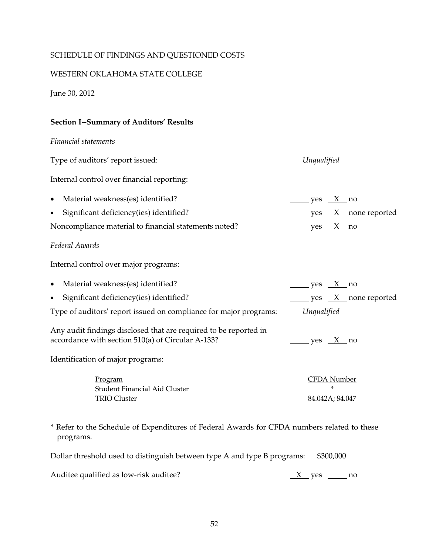# SCHEDULE OF FINDINGS AND QUESTIONED COSTS

## WESTERN OKLAHOMA STATE COLLEGE

June 30, 2012

## **Section I--Summary of Auditors' Results**

*Financial statements*

| Type of auditors' report issued:                                                                                      | Unqualified                                   |
|-----------------------------------------------------------------------------------------------------------------------|-----------------------------------------------|
| Internal control over financial reporting:                                                                            |                                               |
| Material weakness(es) identified?<br>$\bullet$                                                                        | $\frac{\ }{\ }$ yes $\frac{X}{X}$ no          |
| Significant deficiency(ies) identified?<br>$\bullet$                                                                  | $\frac{1}{1}$ yes $\frac{X}{1}$ none reported |
| Noncompliance material to financial statements noted?                                                                 | $\frac{\ }{\ }$ yes $\frac{X}{X}$ no          |
| Federal Awards                                                                                                        |                                               |
| Internal control over major programs:                                                                                 |                                               |
| Material weakness(es) identified?<br>$\bullet$                                                                        | $\frac{\ }{\ }$ yes $\frac{X}{X}$ no          |
| Significant deficiency(ies) identified?<br>$\bullet$                                                                  | $\frac{1}{2}$ yes $\frac{X}{2}$ none reported |
| Type of auditors' report issued on compliance for major programs:                                                     | Unqualified                                   |
| Any audit findings disclosed that are required to be reported in<br>accordance with section 510(a) of Circular A-133? | $yes \tX no$                                  |
| Identification of major programs:                                                                                     |                                               |
| Program<br>Student Financial Aid Cluster<br><b>TRIO Cluster</b>                                                       | <b>CFDA</b> Number<br>*<br>84.042A; 84.047    |

\* Refer to the Schedule of Expenditures of Federal Awards for CFDA numbers related to these programs.

Dollar threshold used to distinguish between type A and type B programs: \$300,000

| Auditee qualified as low-risk auditee? | X ves<br>no |
|----------------------------------------|-------------|
|----------------------------------------|-------------|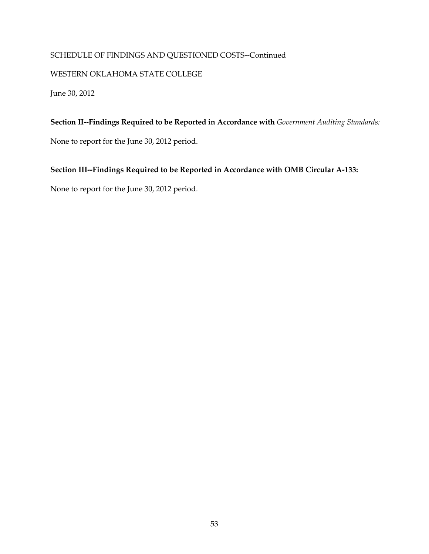# SCHEDULE OF FINDINGS AND QUESTIONED COSTS--Continued

## WESTERN OKLAHOMA STATE COLLEGE

June 30, 2012

**Section II--Findings Required to be Reported in Accordance with** *Government Auditing Standards:* 

None to report for the June 30, 2012 period.

## **Section III--Findings Required to be Reported in Accordance with OMB Circular A-133:**

None to report for the June 30, 2012 period.